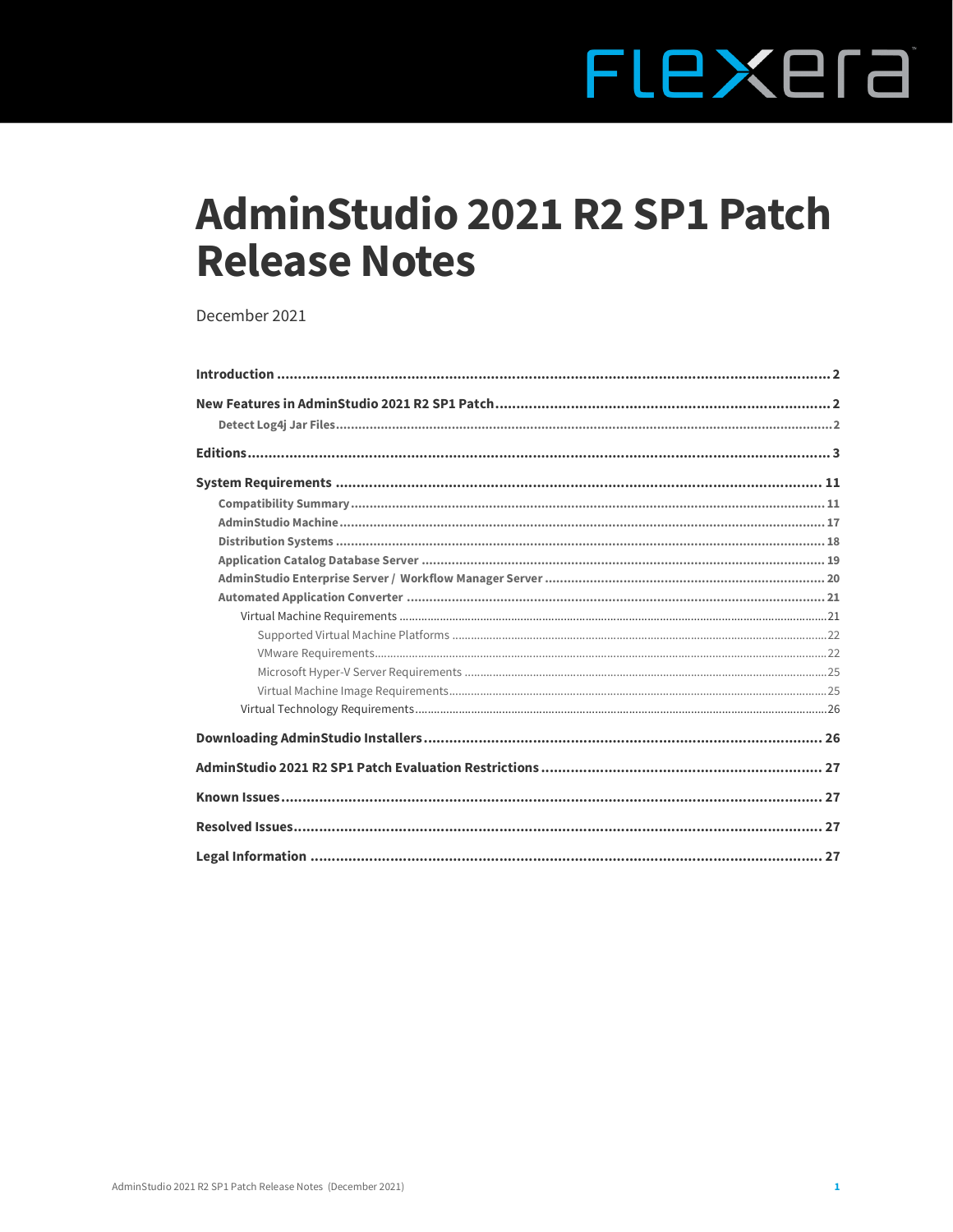# FLEXEra

# **AdminStudio 2021 R2 SP1 Patch Release Notes**

December 2021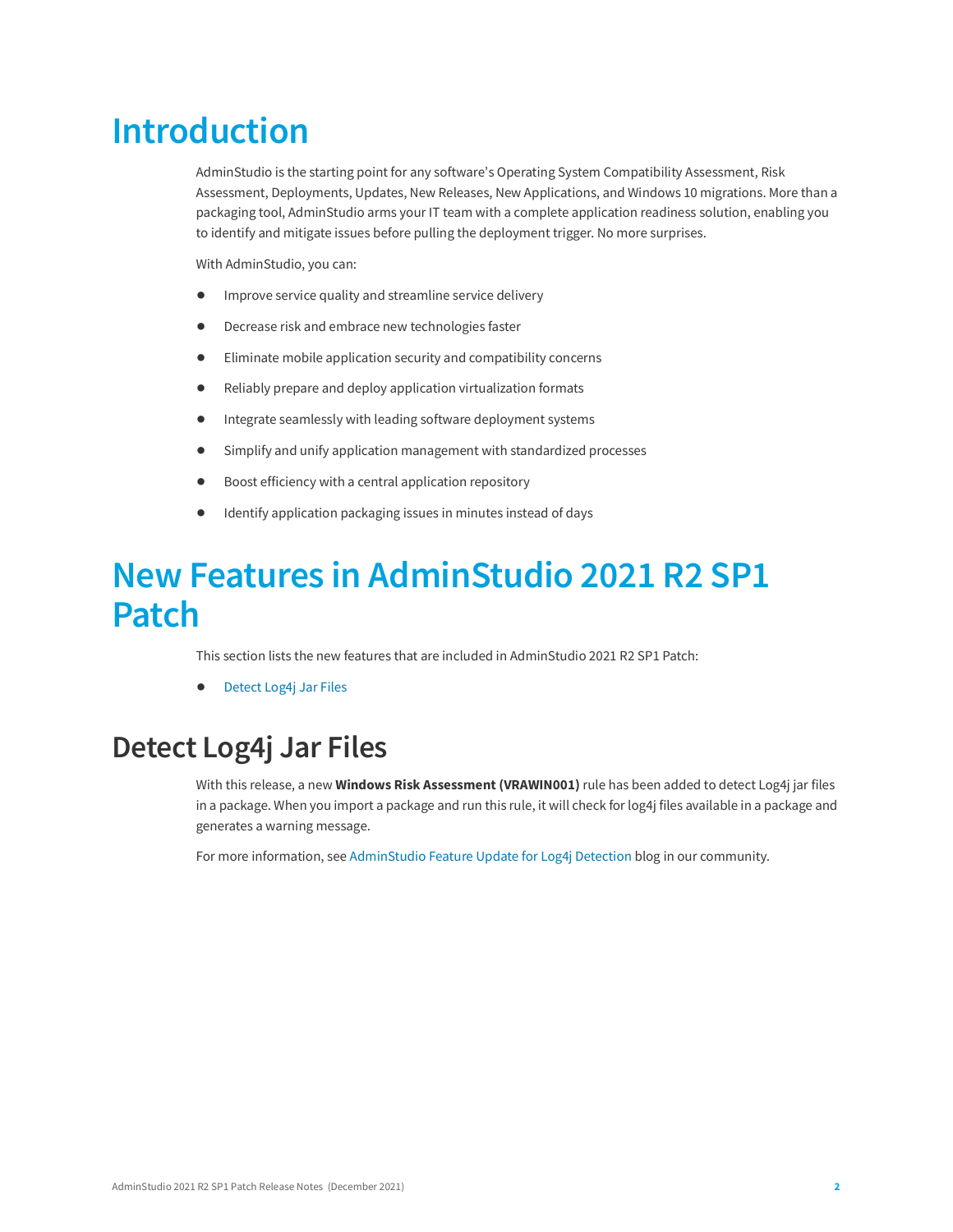# <span id="page-1-0"></span>**Introduction**

AdminStudio is the starting point for any software's Operating System Compatibility Assessment, Risk Assessment, Deployments, Updates, New Releases, New Applications, and Windows 10 migrations. More than a packaging tool, AdminStudio arms your IT team with a complete application readiness solution, enabling you to identify and mitigate issues before pulling the deployment trigger. No more surprises.

With AdminStudio, you can:

- **•** Improve service quality and streamline service delivery
- **•** Decrease risk and embrace new technologies faster
- **•** Eliminate mobile application security and compatibility concerns
- **•** Reliably prepare and deploy application virtualization formats
- **•** Integrate seamlessly with leading software deployment systems
- **•** Simplify and unify application management with standardized processes
- **•** Boost efficiency with a central application repository
- **•** Identify application packaging issues in minutes instead of days

# <span id="page-1-1"></span>**New Features in AdminStudio 2021 R2 SP1 Patch**

This section lists the new features that are included in AdminStudio 2021 R2 SP1 Patch:

**•** [Detect Log4j Jar Files](#page-1-2)

### <span id="page-1-2"></span>**Detect Log4j Jar Files**

With this release, a new **Windows Risk Assessment (VRAWIN001)** rule has been added to detect Log4j jar files in a package. When you import a package and run this rule, it will check for log4j files available in a package and generates a warning message.

For more information, see [AdminStudio Feature Update for Log4j Detection](https://community.flexera.com/t5/AdminStudio-and-Workflow-Manager/AdminStudio-Feature-Update-for-Log4j-Detection/ba-p/218732#M41) blog in our community.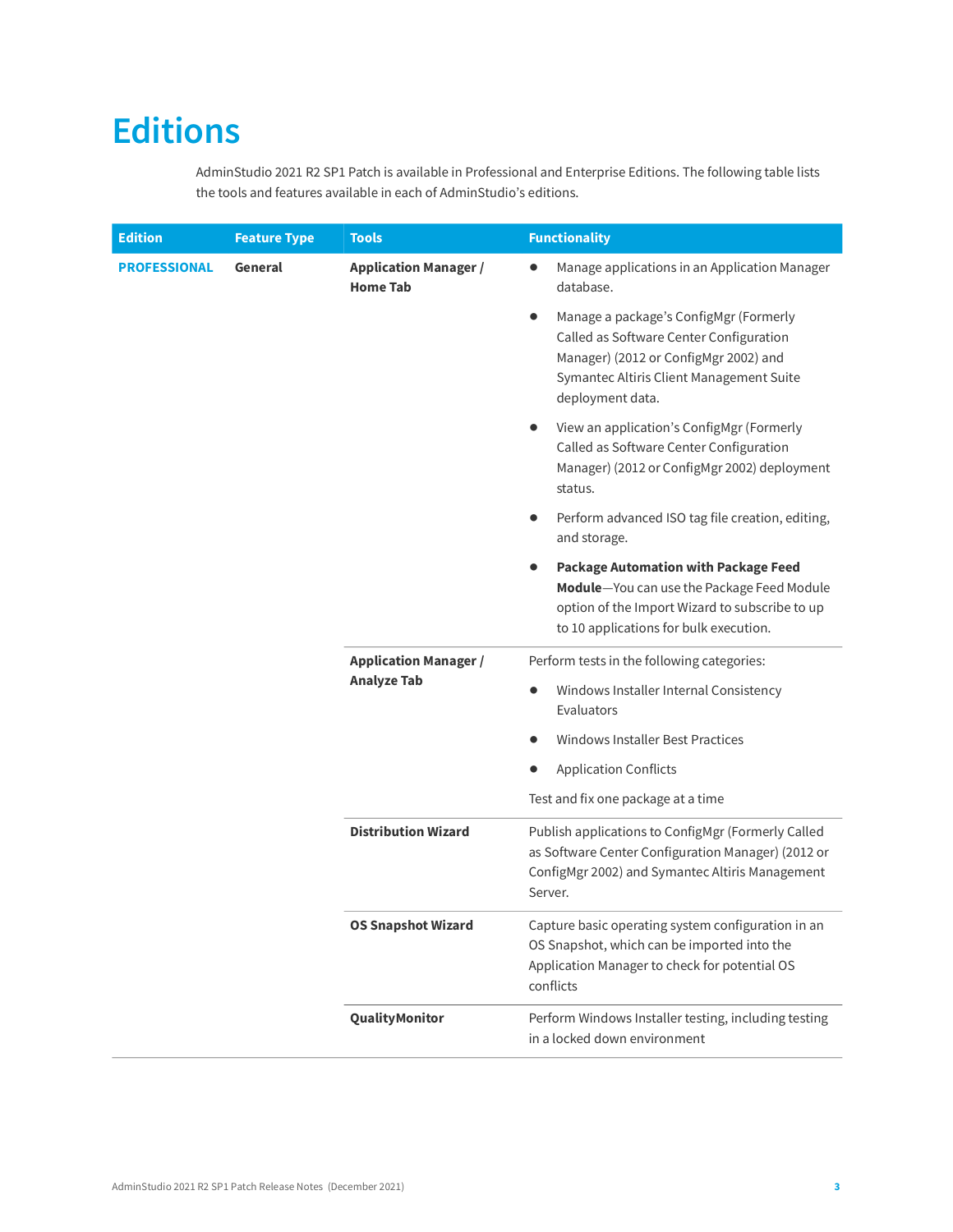# <span id="page-2-0"></span>**Editions**

AdminStudio 2021 R2 SP1 Patch is available in Professional and Enterprise Editions. The following table lists the tools and features available in each of AdminStudio's editions.

| <b>Edition</b>      | <b>Feature Type</b>        | <b>Tools</b>                                                                                                                                                                          | <b>Functionality</b>                                                                                                                                                                                                                                                                                                                                                                                                                                                    |  |
|---------------------|----------------------------|---------------------------------------------------------------------------------------------------------------------------------------------------------------------------------------|-------------------------------------------------------------------------------------------------------------------------------------------------------------------------------------------------------------------------------------------------------------------------------------------------------------------------------------------------------------------------------------------------------------------------------------------------------------------------|--|
| <b>PROFESSIONAL</b> | General                    | <b>Application Manager /</b><br><b>Home Tab</b>                                                                                                                                       | Manage applications in an Application Manager<br>$\bullet$<br>database.                                                                                                                                                                                                                                                                                                                                                                                                 |  |
|                     |                            |                                                                                                                                                                                       | Manage a package's ConfigMgr (Formerly<br>$\bullet$<br>Called as Software Center Configuration<br>Manager) (2012 or ConfigMgr 2002) and<br>Symantec Altiris Client Management Suite<br>deployment data.                                                                                                                                                                                                                                                                 |  |
|                     |                            |                                                                                                                                                                                       | View an application's ConfigMgr (Formerly<br>Called as Software Center Configuration<br>Manager) (2012 or ConfigMgr 2002) deployment<br>status.                                                                                                                                                                                                                                                                                                                         |  |
|                     |                            |                                                                                                                                                                                       | Perform advanced ISO tag file creation, editing,<br>$\bullet$<br>and storage.                                                                                                                                                                                                                                                                                                                                                                                           |  |
|                     |                            | <b>Package Automation with Package Feed</b><br>Module-You can use the Package Feed Module<br>option of the Import Wizard to subscribe to up<br>to 10 applications for bulk execution. |                                                                                                                                                                                                                                                                                                                                                                                                                                                                         |  |
|                     |                            | <b>Application Manager /</b>                                                                                                                                                          | Perform tests in the following categories:                                                                                                                                                                                                                                                                                                                                                                                                                              |  |
|                     | <b>Analyze Tab</b>         | Windows Installer Internal Consistency<br>$\bullet$<br>Evaluators                                                                                                                     |                                                                                                                                                                                                                                                                                                                                                                                                                                                                         |  |
|                     |                            |                                                                                                                                                                                       | <b>Windows Installer Best Practices</b>                                                                                                                                                                                                                                                                                                                                                                                                                                 |  |
|                     |                            |                                                                                                                                                                                       | <b>Application Conflicts</b>                                                                                                                                                                                                                                                                                                                                                                                                                                            |  |
|                     |                            |                                                                                                                                                                                       | Test and fix one package at a time<br>Publish applications to ConfigMgr (Formerly Called<br>as Software Center Configuration Manager) (2012 or<br>ConfigMgr 2002) and Symantec Altiris Management<br>Server.<br>Capture basic operating system configuration in an<br>OS Snapshot, which can be imported into the<br>Application Manager to check for potential OS<br>conflicts<br>Perform Windows Installer testing, including testing<br>in a locked down environment |  |
|                     | <b>Distribution Wizard</b> |                                                                                                                                                                                       |                                                                                                                                                                                                                                                                                                                                                                                                                                                                         |  |
|                     |                            | <b>OS Snapshot Wizard</b>                                                                                                                                                             |                                                                                                                                                                                                                                                                                                                                                                                                                                                                         |  |
|                     |                            | QualityMonitor                                                                                                                                                                        |                                                                                                                                                                                                                                                                                                                                                                                                                                                                         |  |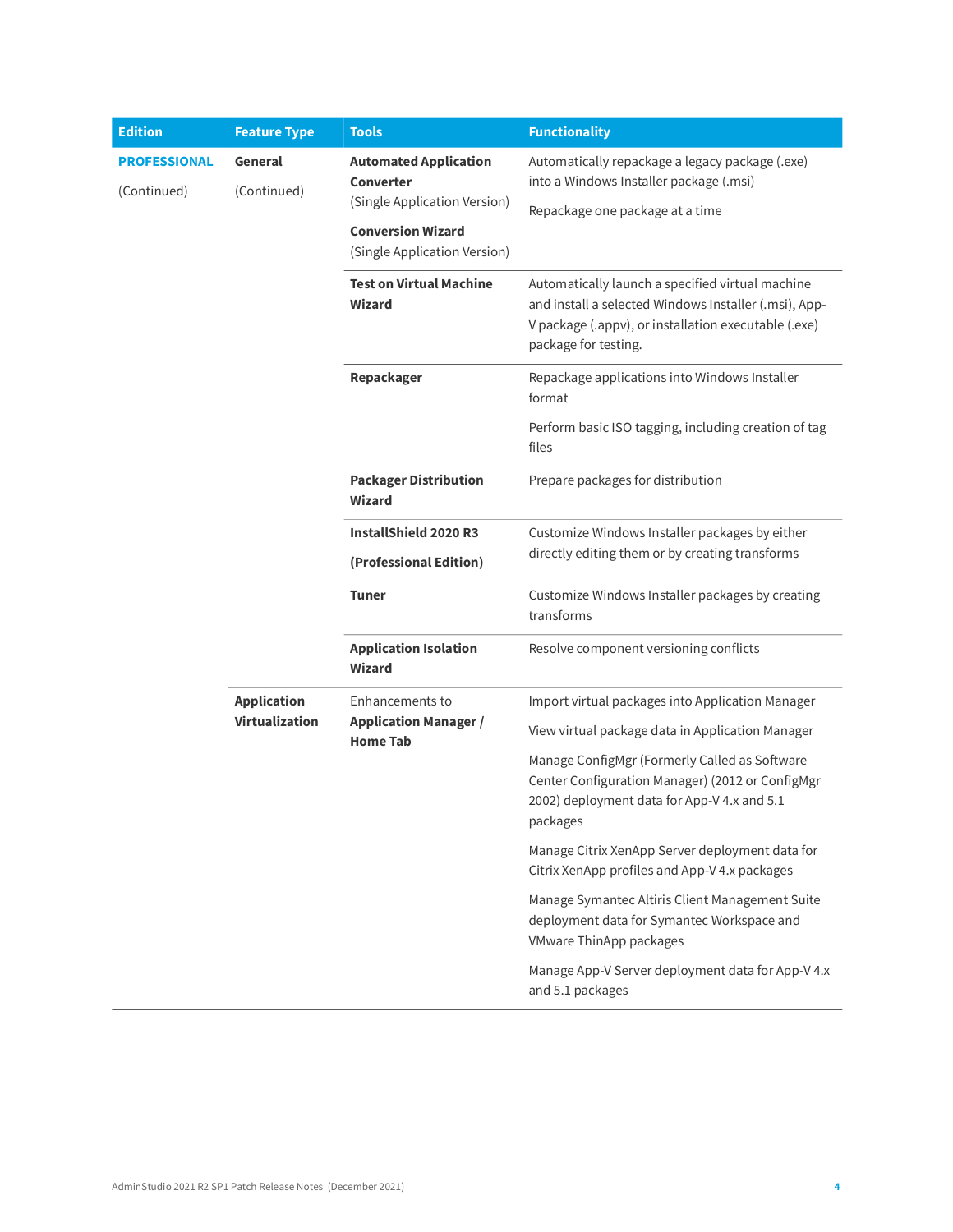| <b>Edition</b>                     | <b>Feature Type</b>                                                        | <b>Tools</b>                                                                     | <b>Functionality</b>                                                                                                                                         |
|------------------------------------|----------------------------------------------------------------------------|----------------------------------------------------------------------------------|--------------------------------------------------------------------------------------------------------------------------------------------------------------|
| <b>PROFESSIONAL</b><br>(Continued) | General<br>(Continued)                                                     | <b>Automated Application</b><br><b>Converter</b><br>(Single Application Version) | Automatically repackage a legacy package (.exe)<br>into a Windows Installer package (.msi)                                                                   |
|                                    |                                                                            | <b>Conversion Wizard</b><br>(Single Application Version)                         | Repackage one package at a time                                                                                                                              |
|                                    |                                                                            | <b>Test on Virtual Machine</b><br>Wizard                                         |                                                                                                                                                              |
|                                    |                                                                            | Repackager                                                                       | Repackage applications into Windows Installer<br>format                                                                                                      |
|                                    |                                                                            |                                                                                  | Perform basic ISO tagging, including creation of tag<br>files                                                                                                |
|                                    |                                                                            | <b>Packager Distribution</b><br><b>Wizard</b>                                    | Prepare packages for distribution                                                                                                                            |
|                                    |                                                                            | <b>InstallShield 2020 R3</b><br>(Professional Edition)                           | Customize Windows Installer packages by either<br>directly editing them or by creating transforms                                                            |
|                                    |                                                                            | <b>Tuner</b>                                                                     | Customize Windows Installer packages by creating<br>transforms                                                                                               |
|                                    |                                                                            | <b>Application Isolation</b><br>Wizard                                           | Resolve component versioning conflicts                                                                                                                       |
|                                    | <b>Application</b><br>Enhancements to<br>Virtualization<br><b>Home Tab</b> |                                                                                  | Import virtual packages into Application Manager                                                                                                             |
|                                    |                                                                            | <b>Application Manager /</b>                                                     | View virtual package data in Application Manager                                                                                                             |
|                                    |                                                                            |                                                                                  | Manage ConfigMgr (Formerly Called as Software<br>Center Configuration Manager) (2012 or ConfigMgr<br>2002) deployment data for App-V 4.x and 5.1<br>packages |
|                                    |                                                                            |                                                                                  | Manage Citrix XenApp Server deployment data for<br>Citrix XenApp profiles and App-V 4.x packages                                                             |
|                                    |                                                                            |                                                                                  | Manage Symantec Altiris Client Management Suite<br>deployment data for Symantec Workspace and<br>VMware ThinApp packages                                     |
|                                    |                                                                            |                                                                                  | Manage App-V Server deployment data for App-V 4.x<br>and 5.1 packages                                                                                        |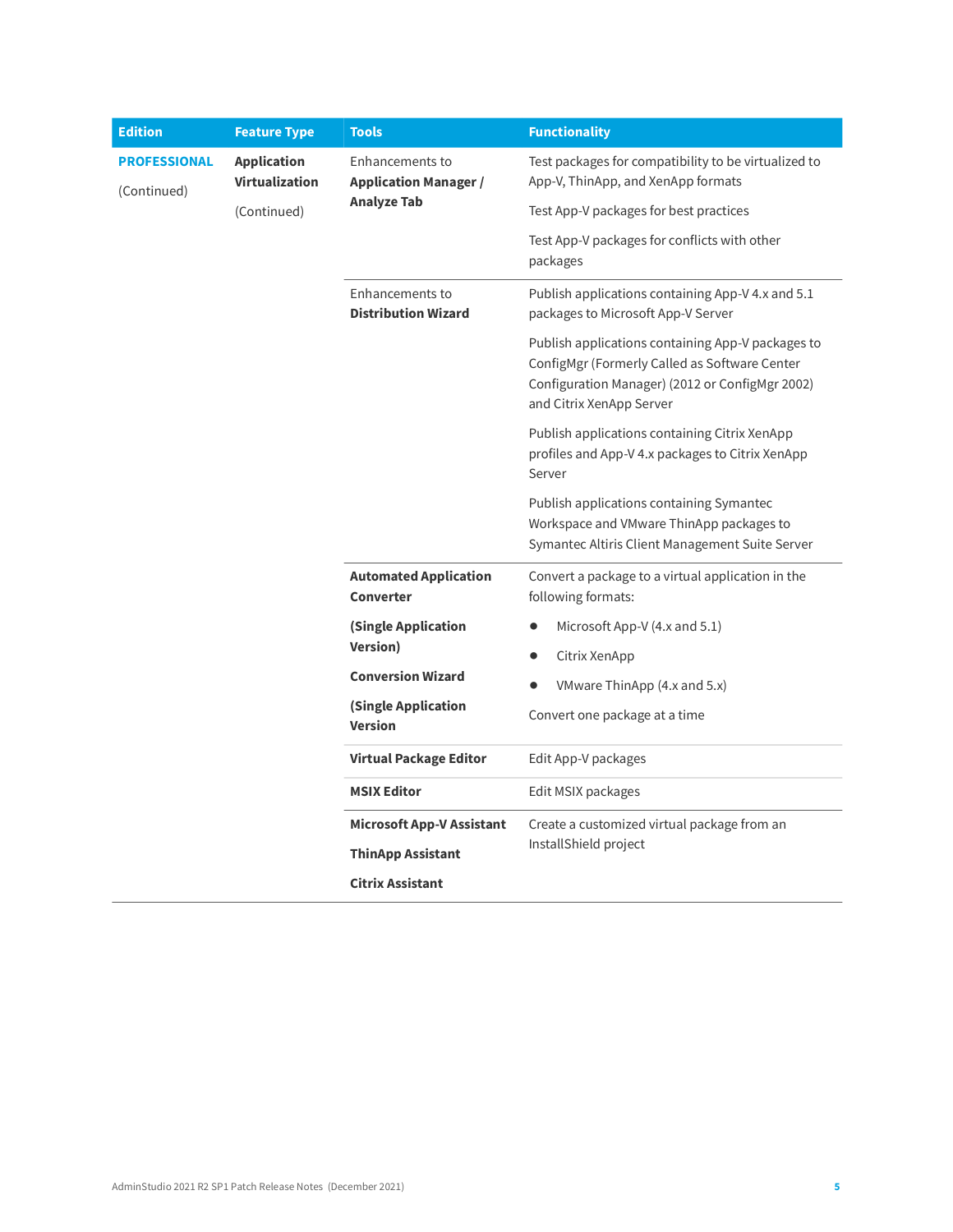| <b>Edition</b>                     | <b>Feature Type</b>                         | <b>Tools</b>                                    | <b>Functionality</b>                                                                                                                                                              |
|------------------------------------|---------------------------------------------|-------------------------------------------------|-----------------------------------------------------------------------------------------------------------------------------------------------------------------------------------|
| <b>PROFESSIONAL</b><br>(Continued) | <b>Application</b><br><b>Virtualization</b> | Enhancements to<br><b>Application Manager /</b> | Test packages for compatibility to be virtualized to<br>App-V, ThinApp, and XenApp formats                                                                                        |
|                                    | (Continued)                                 | <b>Analyze Tab</b>                              | Test App-V packages for best practices                                                                                                                                            |
|                                    |                                             |                                                 | Test App-V packages for conflicts with other<br>packages                                                                                                                          |
|                                    |                                             | Enhancements to<br><b>Distribution Wizard</b>   | Publish applications containing App-V 4.x and 5.1<br>packages to Microsoft App-V Server                                                                                           |
|                                    |                                             |                                                 | Publish applications containing App-V packages to<br>ConfigMgr (Formerly Called as Software Center<br>Configuration Manager) (2012 or ConfigMgr 2002)<br>and Citrix XenApp Server |
|                                    |                                             |                                                 | Publish applications containing Citrix XenApp<br>profiles and App-V 4.x packages to Citrix XenApp<br>Server                                                                       |
|                                    |                                             |                                                 | Publish applications containing Symantec<br>Workspace and VMware ThinApp packages to<br>Symantec Altiris Client Management Suite Server                                           |
|                                    |                                             | <b>Automated Application</b><br>Converter       | Convert a package to a virtual application in the<br>following formats:                                                                                                           |
|                                    |                                             | (Single Application<br><b>Version</b> )         | Microsoft App-V $(4.x$ and 5.1)                                                                                                                                                   |
|                                    |                                             |                                                 | Citrix XenApp                                                                                                                                                                     |
|                                    |                                             | <b>Conversion Wizard</b>                        | VMware ThinApp (4.x and 5.x)                                                                                                                                                      |
|                                    |                                             | (Single Application<br><b>Version</b>           | Convert one package at a time                                                                                                                                                     |
|                                    |                                             | <b>Virtual Package Editor</b>                   | Edit App-V packages                                                                                                                                                               |
|                                    |                                             | <b>MSIX Editor</b>                              | Edit MSIX packages                                                                                                                                                                |
|                                    |                                             | <b>Microsoft App-V Assistant</b>                | Create a customized virtual package from an                                                                                                                                       |
|                                    |                                             | <b>ThinApp Assistant</b>                        | InstallShield project                                                                                                                                                             |
|                                    |                                             |                                                 |                                                                                                                                                                                   |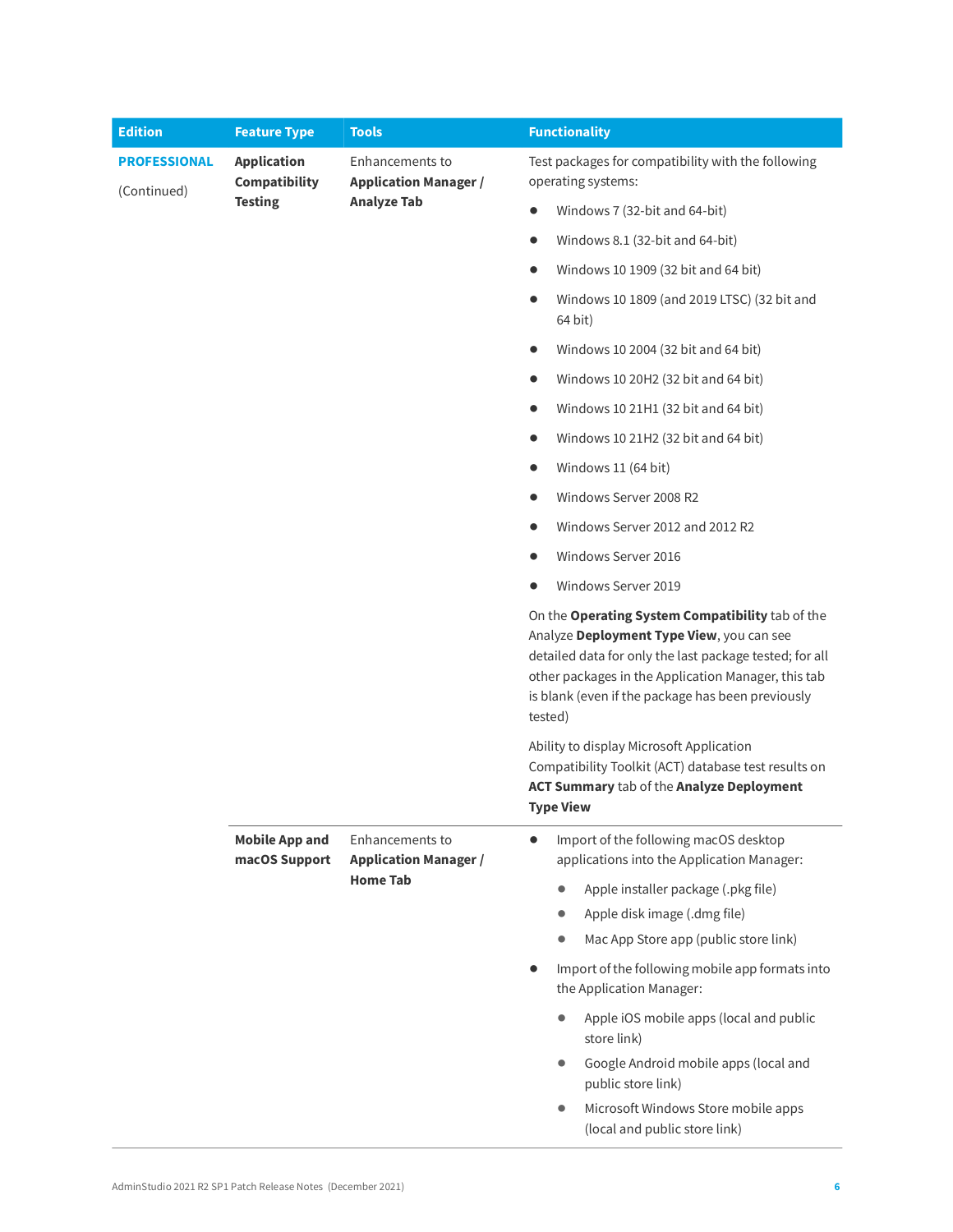| <b>Edition</b>                     | <b>Feature Type</b>                        | <b>Tools</b>                                                          | <b>Functionality</b>                                                                                                                                              |  |  |  |  |
|------------------------------------|--------------------------------------------|-----------------------------------------------------------------------|-------------------------------------------------------------------------------------------------------------------------------------------------------------------|--|--|--|--|
| <b>PROFESSIONAL</b><br>(Continued) | <b>Application</b><br><b>Compatibility</b> | Enhancements to<br><b>Application Manager /</b><br><b>Analyze Tab</b> | Test packages for compatibility with the following<br>operating systems:                                                                                          |  |  |  |  |
|                                    | <b>Testing</b>                             |                                                                       | Windows 7 (32-bit and 64-bit)<br>$\bullet$                                                                                                                        |  |  |  |  |
|                                    |                                            |                                                                       | Windows 8.1 (32-bit and 64-bit)<br>$\bullet$                                                                                                                      |  |  |  |  |
|                                    |                                            |                                                                       | Windows 10 1909 (32 bit and 64 bit)<br>$\bullet$                                                                                                                  |  |  |  |  |
|                                    |                                            |                                                                       | Windows 10 1809 (and 2019 LTSC) (32 bit and<br>$\bullet$<br>64 bit)                                                                                               |  |  |  |  |
|                                    |                                            |                                                                       | Windows 10 2004 (32 bit and 64 bit)<br>$\bullet$                                                                                                                  |  |  |  |  |
|                                    |                                            |                                                                       | Windows 10 20H2 (32 bit and 64 bit)<br>$\bullet$                                                                                                                  |  |  |  |  |
|                                    |                                            |                                                                       | Windows 10 21H1 (32 bit and 64 bit)<br>$\bullet$                                                                                                                  |  |  |  |  |
|                                    |                                            |                                                                       | Windows 10 21H2 (32 bit and 64 bit)<br>$\bullet$                                                                                                                  |  |  |  |  |
|                                    |                                            |                                                                       | Windows 11 (64 bit)<br>$\bullet$                                                                                                                                  |  |  |  |  |
|                                    |                                            |                                                                       | Windows Server 2008 R2<br>$\bullet$                                                                                                                               |  |  |  |  |
|                                    |                                            |                                                                       | Windows Server 2012 and 2012 R2                                                                                                                                   |  |  |  |  |
|                                    |                                            |                                                                       | Windows Server 2016                                                                                                                                               |  |  |  |  |
|                                    |                                            |                                                                       | Windows Server 2019                                                                                                                                               |  |  |  |  |
|                                    |                                            |                                                                       |                                                                                                                                                                   |  |  |  |  |
|                                    |                                            |                                                                       | Ability to display Microsoft Application<br>Compatibility Toolkit (ACT) database test results on<br>ACT Summary tab of the Analyze Deployment<br><b>Type View</b> |  |  |  |  |
|                                    | <b>Mobile App and</b>                      | Enhancements to                                                       | Import of the following macOS desktop<br>$\bullet$                                                                                                                |  |  |  |  |
|                                    | macOS Support                              | <b>Application Manager /</b><br><b>Home Tab</b>                       | applications into the Application Manager:                                                                                                                        |  |  |  |  |
|                                    |                                            |                                                                       | Apple installer package (.pkg file)<br>Apple disk image (.dmg file)<br>$\bullet$                                                                                  |  |  |  |  |
|                                    |                                            |                                                                       | Mac App Store app (public store link)                                                                                                                             |  |  |  |  |
|                                    |                                            |                                                                       | Import of the following mobile app formats into<br>the Application Manager:                                                                                       |  |  |  |  |
|                                    |                                            |                                                                       | Apple iOS mobile apps (local and public<br>store link)                                                                                                            |  |  |  |  |
|                                    |                                            |                                                                       | Google Android mobile apps (local and<br>public store link)                                                                                                       |  |  |  |  |
|                                    |                                            |                                                                       | Microsoft Windows Store mobile apps<br>(local and public store link)                                                                                              |  |  |  |  |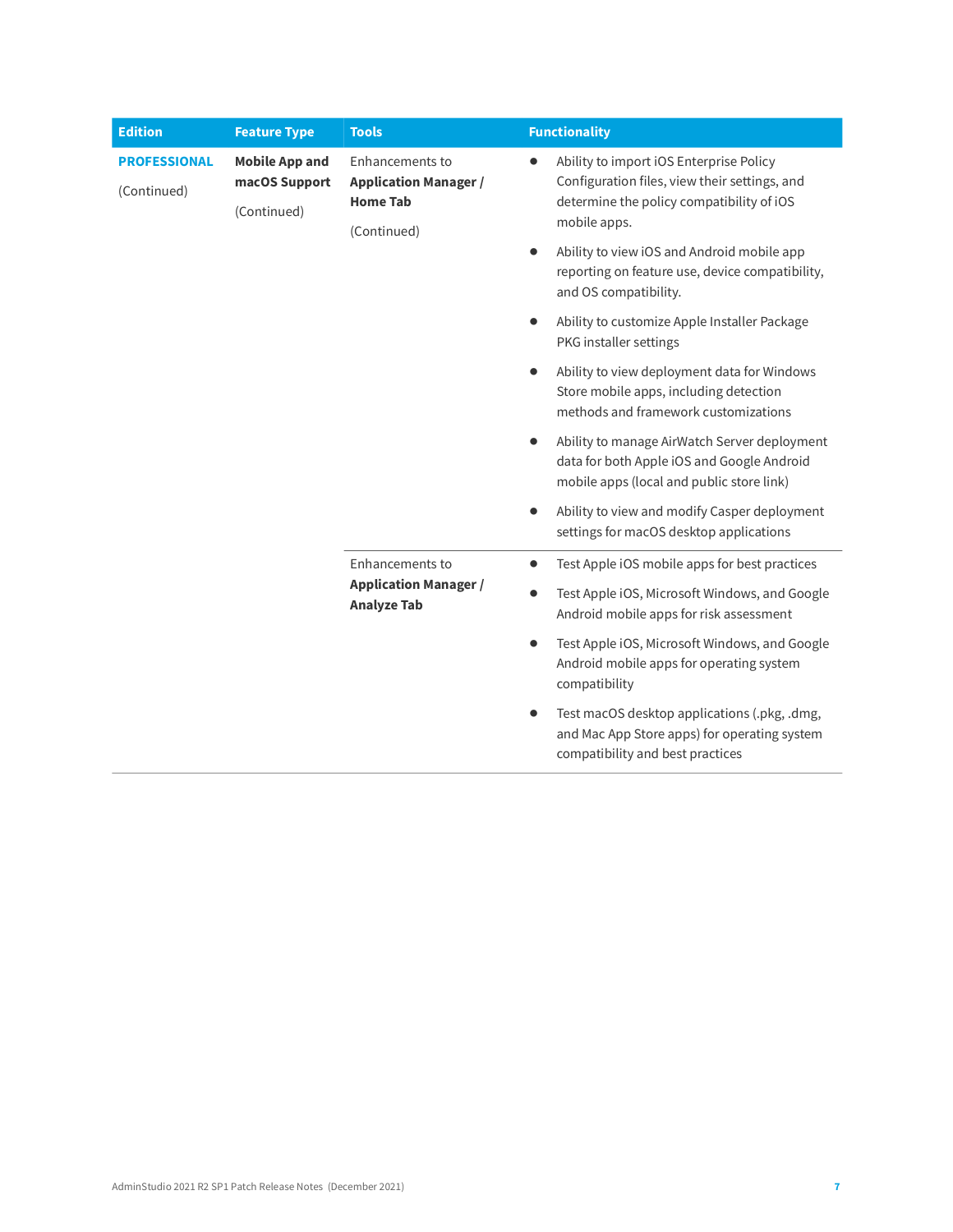| <b>Edition</b>                                                                              | <b>Feature Type</b> | <b>Tools</b>                                                                      |           | <b>Functionality</b>                                                                                                                                  |
|---------------------------------------------------------------------------------------------|---------------------|-----------------------------------------------------------------------------------|-----------|-------------------------------------------------------------------------------------------------------------------------------------------------------|
| <b>Mobile App and</b><br><b>PROFESSIONAL</b><br>macOS Support<br>(Continued)<br>(Continued) |                     | Enhancements to<br><b>Application Manager /</b><br><b>Home Tab</b><br>(Continued) | $\bullet$ | Ability to import iOS Enterprise Policy<br>Configuration files, view their settings, and<br>determine the policy compatibility of iOS<br>mobile apps. |
|                                                                                             |                     |                                                                                   | $\bullet$ | Ability to view iOS and Android mobile app<br>reporting on feature use, device compatibility,<br>and OS compatibility.                                |
|                                                                                             |                     |                                                                                   | $\bullet$ | Ability to customize Apple Installer Package<br>PKG installer settings                                                                                |
|                                                                                             |                     |                                                                                   | $\bullet$ | Ability to view deployment data for Windows<br>Store mobile apps, including detection<br>methods and framework customizations                         |
|                                                                                             |                     |                                                                                   | $\bullet$ | Ability to manage AirWatch Server deployment<br>data for both Apple iOS and Google Android<br>mobile apps (local and public store link)               |
|                                                                                             |                     |                                                                                   | $\bullet$ | Ability to view and modify Casper deployment<br>settings for macOS desktop applications                                                               |
|                                                                                             |                     | <b>Enhancements to</b>                                                            | $\bullet$ | Test Apple iOS mobile apps for best practices                                                                                                         |
|                                                                                             |                     | <b>Application Manager /</b><br><b>Analyze Tab</b>                                | $\bullet$ | Test Apple iOS, Microsoft Windows, and Google<br>Android mobile apps for risk assessment                                                              |
|                                                                                             |                     |                                                                                   | $\bullet$ | Test Apple iOS, Microsoft Windows, and Google<br>Android mobile apps for operating system<br>compatibility                                            |
|                                                                                             |                     |                                                                                   | $\bullet$ | Test macOS desktop applications (.pkg, .dmg,<br>and Mac App Store apps) for operating system<br>compatibility and best practices                      |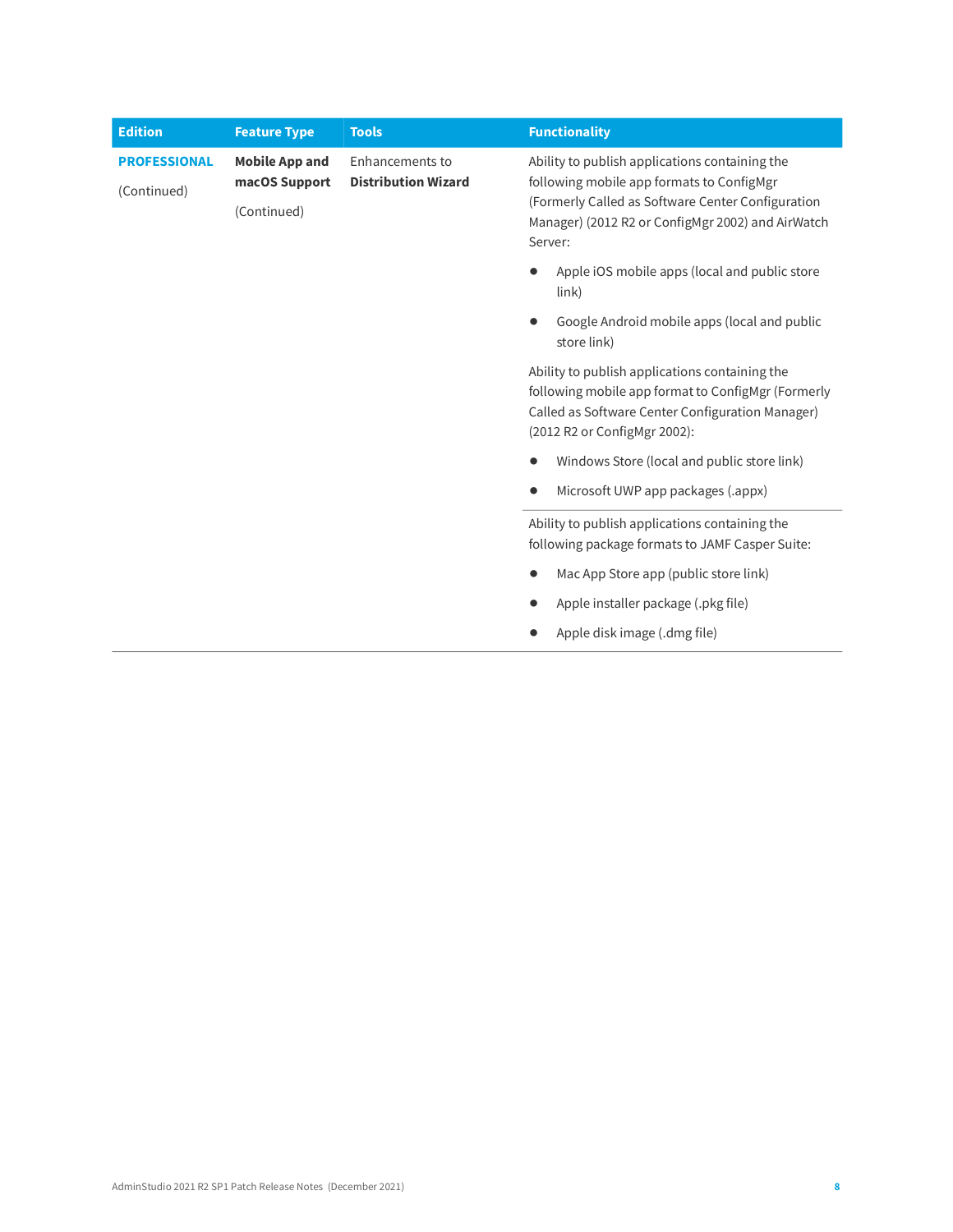| <b>Edition</b>                     | <b>Feature Type</b>                                   | <b>Tools</b>                                                                                                                                                                             | <b>Functionality</b>                                                                                                                                                                                             |
|------------------------------------|-------------------------------------------------------|------------------------------------------------------------------------------------------------------------------------------------------------------------------------------------------|------------------------------------------------------------------------------------------------------------------------------------------------------------------------------------------------------------------|
| <b>PROFESSIONAL</b><br>(Continued) | <b>Mobile App and</b><br>macOS Support<br>(Continued) | Enhancements to<br><b>Distribution Wizard</b>                                                                                                                                            | Ability to publish applications containing the<br>following mobile app formats to ConfigMgr<br>(Formerly Called as Software Center Configuration<br>Manager) (2012 R2 or ConfigMgr 2002) and AirWatch<br>Server: |
|                                    |                                                       |                                                                                                                                                                                          | Apple iOS mobile apps (local and public store<br>$\{link\}$                                                                                                                                                      |
|                                    |                                                       |                                                                                                                                                                                          | Google Android mobile apps (local and public<br>store link)                                                                                                                                                      |
|                                    |                                                       | Ability to publish applications containing the<br>following mobile app format to ConfigMgr (Formerly<br>Called as Software Center Configuration Manager)<br>(2012 R2 or ConfigMgr 2002): |                                                                                                                                                                                                                  |
|                                    |                                                       |                                                                                                                                                                                          | Windows Store (local and public store link)                                                                                                                                                                      |
|                                    |                                                       |                                                                                                                                                                                          | Microsoft UWP app packages (.appx)                                                                                                                                                                               |
|                                    |                                                       | Ability to publish applications containing the<br>following package formats to JAMF Casper Suite:                                                                                        |                                                                                                                                                                                                                  |
|                                    |                                                       | Mac App Store app (public store link)                                                                                                                                                    |                                                                                                                                                                                                                  |
|                                    |                                                       |                                                                                                                                                                                          | Apple installer package (.pkg file)                                                                                                                                                                              |
|                                    |                                                       |                                                                                                                                                                                          | Apple disk image (.dmg file)                                                                                                                                                                                     |
|                                    |                                                       |                                                                                                                                                                                          |                                                                                                                                                                                                                  |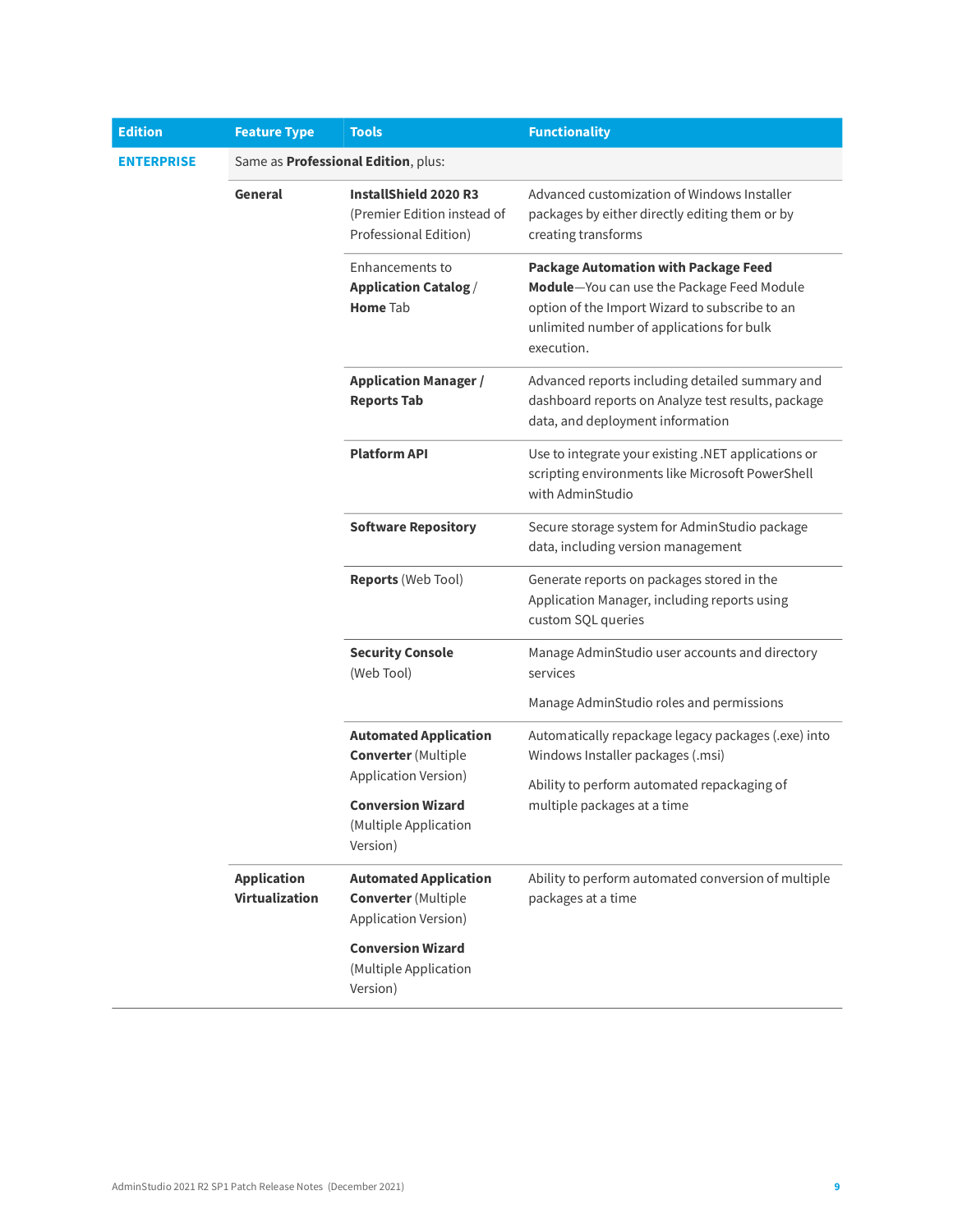| <b>Edition</b>    | <b>Feature Type</b>                         | <b>Tools</b>                                                                          | <b>Functionality</b>                                                                                                                                                                                   |
|-------------------|---------------------------------------------|---------------------------------------------------------------------------------------|--------------------------------------------------------------------------------------------------------------------------------------------------------------------------------------------------------|
| <b>ENTERPRISE</b> |                                             | Same as Professional Edition, plus:                                                   |                                                                                                                                                                                                        |
|                   | General                                     | <b>InstallShield 2020 R3</b><br>(Premier Edition instead of<br>Professional Edition)  | Advanced customization of Windows Installer<br>packages by either directly editing them or by<br>creating transforms                                                                                   |
|                   |                                             | Enhancements to<br><b>Application Catalog /</b><br><b>Home Tab</b>                    | <b>Package Automation with Package Feed</b><br>Module-You can use the Package Feed Module<br>option of the Import Wizard to subscribe to an<br>unlimited number of applications for bulk<br>execution. |
|                   |                                             | <b>Application Manager /</b><br><b>Reports Tab</b>                                    | Advanced reports including detailed summary and<br>dashboard reports on Analyze test results, package<br>data, and deployment information                                                              |
|                   |                                             | <b>Platform API</b>                                                                   | Use to integrate your existing .NET applications or<br>scripting environments like Microsoft PowerShell<br>with AdminStudio                                                                            |
|                   |                                             | <b>Software Repository</b>                                                            | Secure storage system for AdminStudio package<br>data, including version management                                                                                                                    |
|                   |                                             | <b>Reports (Web Tool)</b>                                                             | Generate reports on packages stored in the<br>Application Manager, including reports using<br>custom SQL queries                                                                                       |
|                   |                                             | <b>Security Console</b><br>(Web Tool)                                                 | Manage AdminStudio user accounts and directory<br>services                                                                                                                                             |
|                   |                                             |                                                                                       | Manage AdminStudio roles and permissions                                                                                                                                                               |
|                   |                                             | <b>Automated Application</b><br><b>Converter</b> (Multiple                            | Automatically repackage legacy packages (.exe) into<br>Windows Installer packages (.msi)                                                                                                               |
|                   |                                             | Application Version)<br><b>Conversion Wizard</b><br>(Multiple Application<br>Version) | Ability to perform automated repackaging of<br>multiple packages at a time                                                                                                                             |
|                   | <b>Application</b><br><b>Virtualization</b> | <b>Automated Application</b><br><b>Converter</b> (Multiple<br>Application Version)    | Ability to perform automated conversion of multiple<br>packages at a time                                                                                                                              |
|                   |                                             | <b>Conversion Wizard</b><br>(Multiple Application<br>Version)                         |                                                                                                                                                                                                        |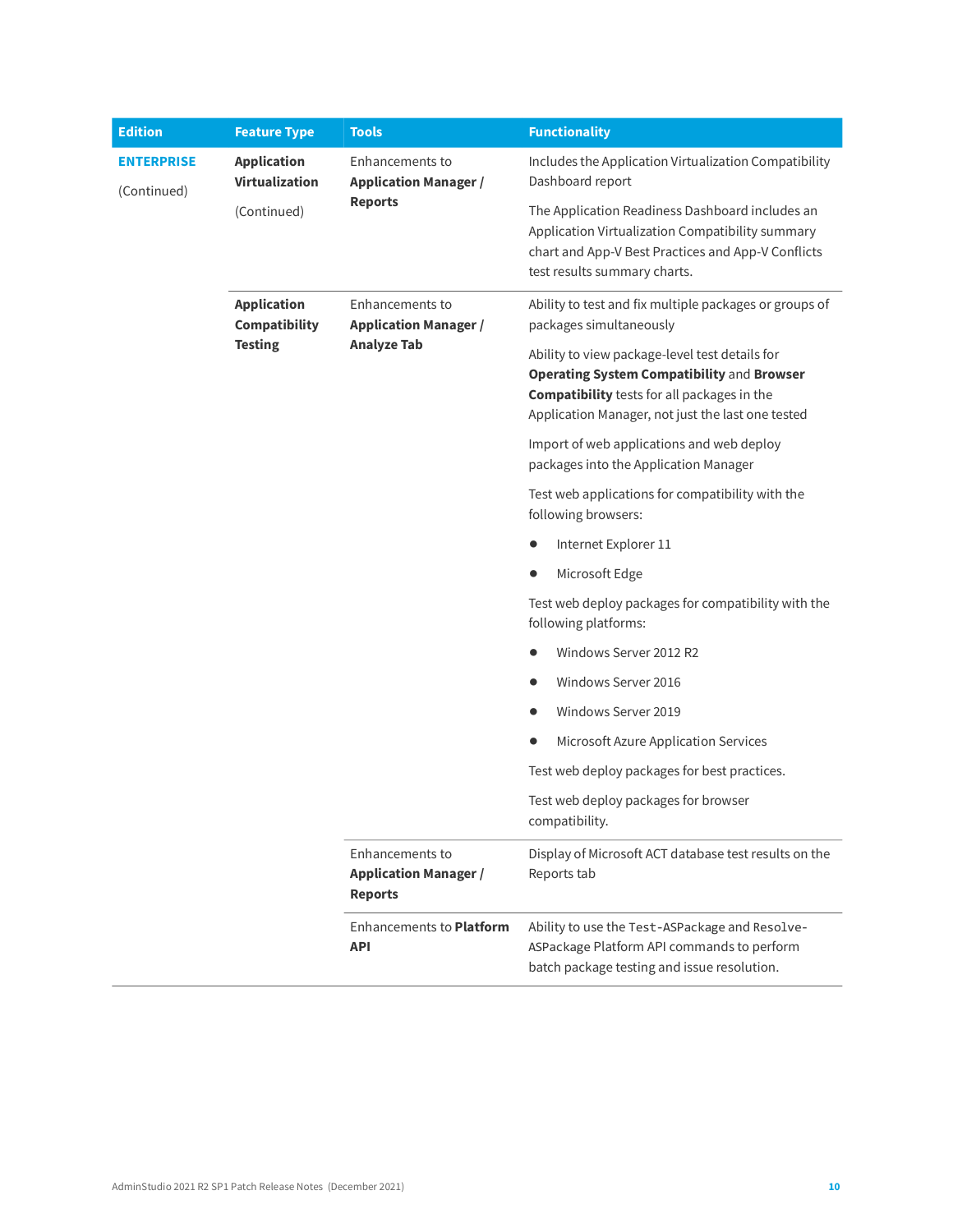| <b>Edition</b>                   | <b>Feature Type</b>                         | <b>Tools</b>                                                                                                       | <b>Functionality</b>                                                                                                                                                                                           |
|----------------------------------|---------------------------------------------|--------------------------------------------------------------------------------------------------------------------|----------------------------------------------------------------------------------------------------------------------------------------------------------------------------------------------------------------|
| <b>ENTERPRISE</b><br>(Continued) | <b>Application</b><br><b>Virtualization</b> | Enhancements to<br><b>Application Manager /</b><br><b>Reports</b>                                                  | Includes the Application Virtualization Compatibility<br>Dashboard report                                                                                                                                      |
|                                  | (Continued)                                 |                                                                                                                    | The Application Readiness Dashboard includes an<br>Application Virtualization Compatibility summary<br>chart and App-V Best Practices and App-V Conflicts<br>test results summary charts.                      |
|                                  | <b>Application</b><br>Compatibility         | Enhancements to<br><b>Application Manager /</b><br><b>Analyze Tab</b>                                              | Ability to test and fix multiple packages or groups of<br>packages simultaneously                                                                                                                              |
|                                  | <b>Testing</b>                              |                                                                                                                    | Ability to view package-level test details for<br><b>Operating System Compatibility and Browser</b><br><b>Compatibility</b> tests for all packages in the<br>Application Manager, not just the last one tested |
|                                  |                                             |                                                                                                                    | Import of web applications and web deploy<br>packages into the Application Manager                                                                                                                             |
|                                  |                                             |                                                                                                                    | Test web applications for compatibility with the<br>following browsers:                                                                                                                                        |
|                                  |                                             |                                                                                                                    | Internet Explorer 11                                                                                                                                                                                           |
|                                  |                                             |                                                                                                                    | Microsoft Edge                                                                                                                                                                                                 |
|                                  |                                             |                                                                                                                    | Test web deploy packages for compatibility with the<br>following platforms:                                                                                                                                    |
|                                  |                                             |                                                                                                                    | Windows Server 2012 R2<br>$\bullet$                                                                                                                                                                            |
|                                  |                                             |                                                                                                                    | Windows Server 2016<br>$\bullet$                                                                                                                                                                               |
|                                  |                                             |                                                                                                                    | Windows Server 2019                                                                                                                                                                                            |
|                                  |                                             |                                                                                                                    | Microsoft Azure Application Services                                                                                                                                                                           |
|                                  |                                             |                                                                                                                    | Test web deploy packages for best practices.                                                                                                                                                                   |
|                                  |                                             | Enhancements to<br><b>Application Manager /</b><br><b>Reports</b><br><b>Enhancements to Platform</b><br><b>API</b> | Test web deploy packages for browser<br>compatibility.                                                                                                                                                         |
|                                  |                                             |                                                                                                                    | Display of Microsoft ACT database test results on the<br>Reports tab                                                                                                                                           |
|                                  |                                             |                                                                                                                    | Ability to use the Test-ASPackage and Resolve-<br>ASPackage Platform API commands to perform<br>batch package testing and issue resolution.                                                                    |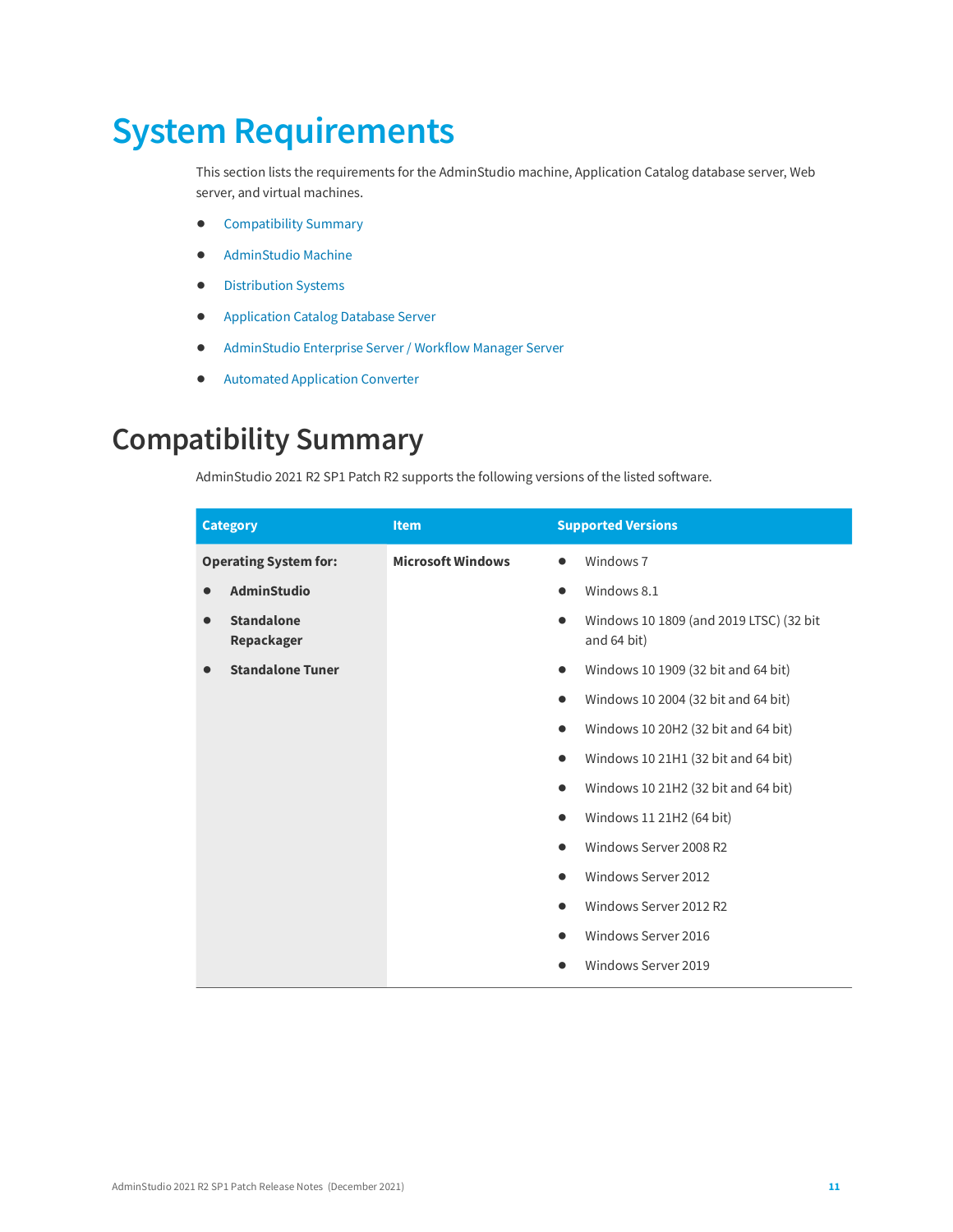# <span id="page-10-0"></span>**System Requirements**

This section lists the requirements for the AdminStudio machine, Application Catalog database server, Web server, and virtual machines.

- **•** [Compatibility Summary](#page-10-1)
- **•** [AdminStudio Machine](#page-16-0)
- **•** [Distribution Systems](#page-17-0)
- **•** [Application Catalog Database Server](#page-18-0)
- **•** [AdminStudio Enterprise Server / Workflow](#page-19-0) Manager Server
- **•** [Automated Application Converter](#page-20-0)

### <span id="page-10-1"></span>**Compatibility Summary**

AdminStudio 2021 R2 SP1 Patch R2 supports the following versions of the listed software.

| <b>Category</b>                 | <b>Item</b>              | <b>Supported Versions</b>                                           |
|---------------------------------|--------------------------|---------------------------------------------------------------------|
| <b>Operating System for:</b>    | <b>Microsoft Windows</b> | Windows <sub>7</sub><br>$\bullet$                                   |
| <b>AdminStudio</b>              |                          | Windows 8.1<br>$\bullet$                                            |
| <b>Standalone</b><br>Repackager |                          | Windows 10 1809 (and 2019 LTSC) (32 bit<br>$\bullet$<br>and 64 bit) |
| <b>Standalone Tuner</b>         |                          | Windows 10 1909 (32 bit and 64 bit)<br>$\bullet$                    |
|                                 |                          | Windows 10 2004 (32 bit and 64 bit)<br>$\bullet$                    |
|                                 |                          | Windows 10 20H2 (32 bit and 64 bit)<br>$\bullet$                    |
|                                 |                          | Windows 10 21H1 (32 bit and 64 bit)                                 |
|                                 |                          | Windows 10 21H2 (32 bit and 64 bit)<br>$\bullet$                    |
|                                 |                          | Windows 11 21H2 (64 bit)<br>$\bullet$                               |
|                                 |                          | Windows Server 2008 R2                                              |
|                                 |                          | Windows Server 2012<br>$\bullet$                                    |
|                                 |                          | Windows Server 2012 R2                                              |
|                                 |                          | Windows Server 2016                                                 |
|                                 |                          | Windows Server 2019                                                 |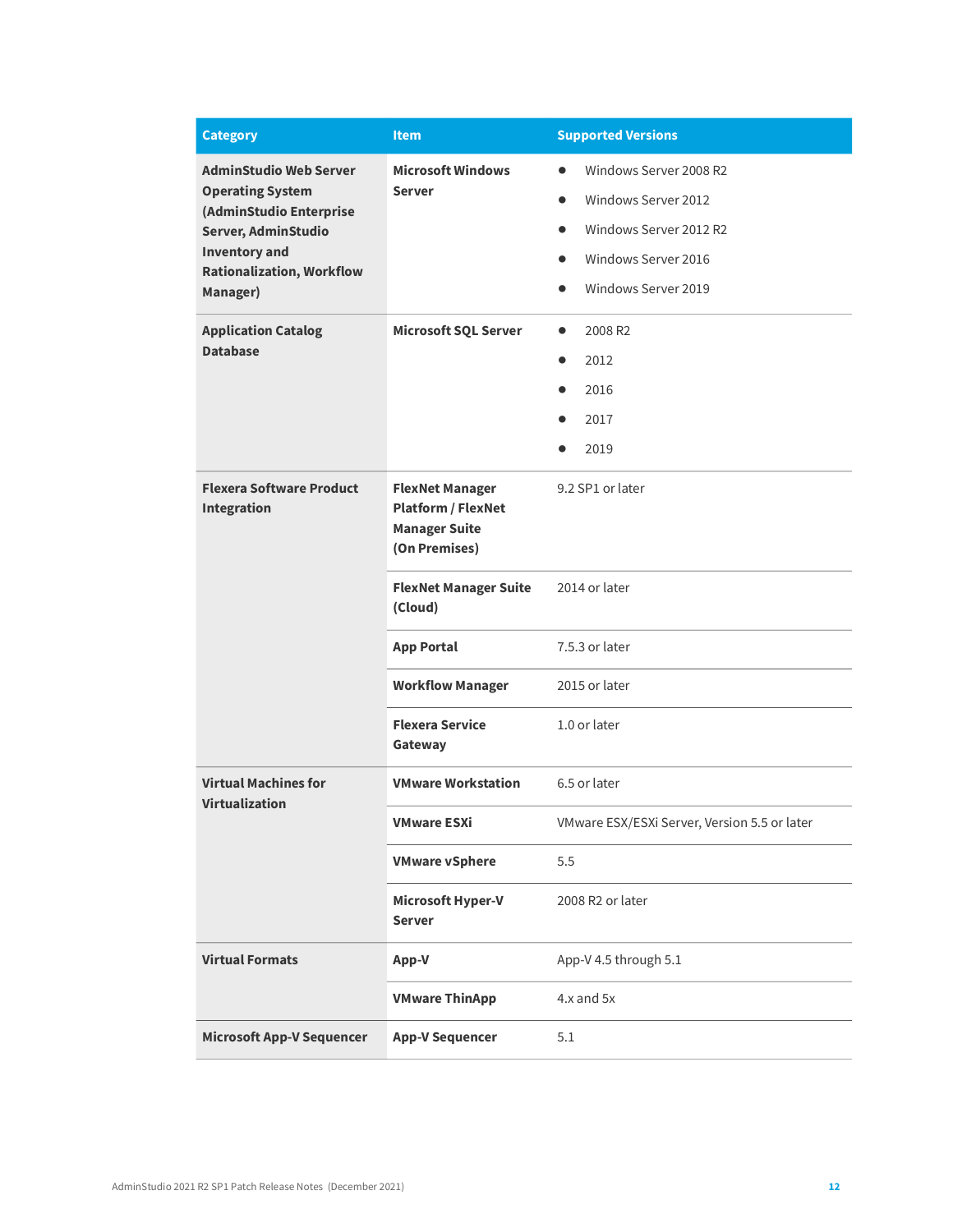| <b>Category</b>                                          | <b>Item</b>                                                                                  | <b>Supported Versions</b>                    |
|----------------------------------------------------------|----------------------------------------------------------------------------------------------|----------------------------------------------|
| <b>AdminStudio Web Server</b><br><b>Operating System</b> | <b>Microsoft Windows</b><br><b>Server</b>                                                    | Windows Server 2008 R2<br>$\bullet$          |
| (AdminStudio Enterprise                                  |                                                                                              | Windows Server 2012<br>$\bullet$             |
| Server, AdminStudio                                      |                                                                                              | Windows Server 2012 R2<br>$\bullet$          |
| <b>Inventory and</b><br><b>Rationalization, Workflow</b> |                                                                                              | Windows Server 2016<br>$\bullet$             |
| Manager)                                                 |                                                                                              | Windows Server 2019                          |
| <b>Application Catalog</b>                               | <b>Microsoft SQL Server</b>                                                                  | 2008 R2<br>$\bullet$                         |
| <b>Database</b>                                          |                                                                                              | 2012<br>$\bullet$                            |
|                                                          |                                                                                              | 2016<br>$\bullet$                            |
|                                                          |                                                                                              | 2017                                         |
|                                                          |                                                                                              | 2019                                         |
| <b>Flexera Software Product</b><br><b>Integration</b>    | <b>FlexNet Manager</b><br><b>Platform / FlexNet</b><br><b>Manager Suite</b><br>(On Premises) | 9.2 SP1 or later                             |
|                                                          | <b>FlexNet Manager Suite</b><br>(Cloud)                                                      | 2014 or later                                |
|                                                          | <b>App Portal</b>                                                                            | 7.5.3 or later                               |
|                                                          | <b>Workflow Manager</b>                                                                      | 2015 or later                                |
|                                                          | <b>Flexera Service</b><br>Gateway                                                            | 1.0 or later                                 |
| <b>Virtual Machines for</b><br><b>Virtualization</b>     | <b>VMware Workstation</b>                                                                    | 6.5 or later                                 |
|                                                          | VMware ESXi                                                                                  | VMware ESX/ESXi Server, Version 5.5 or later |
|                                                          | <b>VMware vSphere</b>                                                                        | 5.5                                          |
|                                                          | Microsoft Hyper-V<br><b>Server</b>                                                           | 2008 R2 or later                             |
| <b>Virtual Formats</b>                                   | App-V                                                                                        | App-V 4.5 through 5.1                        |
|                                                          | <b>VMware ThinApp</b>                                                                        | 4.x and 5x                                   |
| <b>Microsoft App-V Sequencer</b>                         | <b>App-V Sequencer</b>                                                                       | 5.1                                          |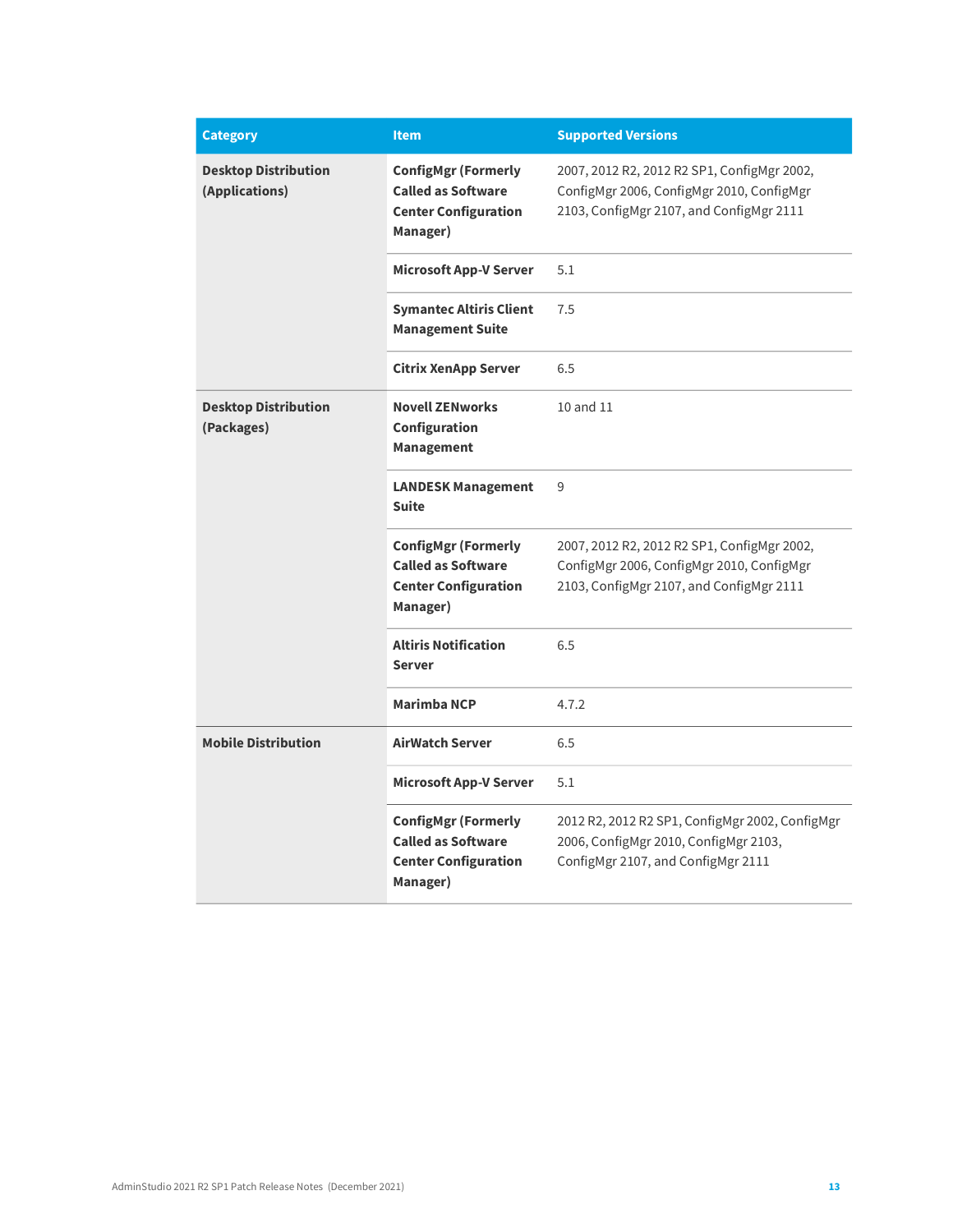| <b>Category</b>                               | <b>Item</b>                                                                                        | <b>Supported Versions</b>                                                                                                            |
|-----------------------------------------------|----------------------------------------------------------------------------------------------------|--------------------------------------------------------------------------------------------------------------------------------------|
| <b>Desktop Distribution</b><br>(Applications) | <b>ConfigMgr (Formerly</b><br><b>Called as Software</b><br><b>Center Configuration</b><br>Manager) | 2007, 2012 R2, 2012 R2 SP1, ConfigMgr 2002,<br>ConfigMgr 2006, ConfigMgr 2010, ConfigMgr<br>2103, ConfigMgr 2107, and ConfigMgr 2111 |
|                                               | <b>Microsoft App-V Server</b>                                                                      | 5.1                                                                                                                                  |
|                                               | <b>Symantec Altiris Client</b><br><b>Management Suite</b>                                          | 7.5                                                                                                                                  |
|                                               | <b>Citrix XenApp Server</b>                                                                        | 6.5                                                                                                                                  |
| <b>Desktop Distribution</b><br>(Packages)     | <b>Novell ZENworks</b><br>Configuration<br><b>Management</b>                                       | 10 and 11                                                                                                                            |
|                                               | <b>LANDESK Management</b><br><b>Suite</b>                                                          | 9                                                                                                                                    |
|                                               | <b>ConfigMgr (Formerly</b><br><b>Called as Software</b><br><b>Center Configuration</b><br>Manager) | 2007, 2012 R2, 2012 R2 SP1, ConfigMgr 2002,<br>ConfigMgr 2006, ConfigMgr 2010, ConfigMgr<br>2103, ConfigMgr 2107, and ConfigMgr 2111 |
|                                               | <b>Altiris Notification</b><br><b>Server</b>                                                       | 6.5                                                                                                                                  |
|                                               | <b>Marimba NCP</b>                                                                                 | 4.7.2                                                                                                                                |
| <b>Mobile Distribution</b>                    | <b>AirWatch Server</b>                                                                             | 6.5                                                                                                                                  |
|                                               | <b>Microsoft App-V Server</b>                                                                      | 5.1                                                                                                                                  |
|                                               | <b>ConfigMgr (Formerly</b><br><b>Called as Software</b><br><b>Center Configuration</b><br>Manager) | 2012 R2, 2012 R2 SP1, ConfigMgr 2002, ConfigMgr<br>2006, ConfigMgr 2010, ConfigMgr 2103,<br>ConfigMgr 2107, and ConfigMgr 2111       |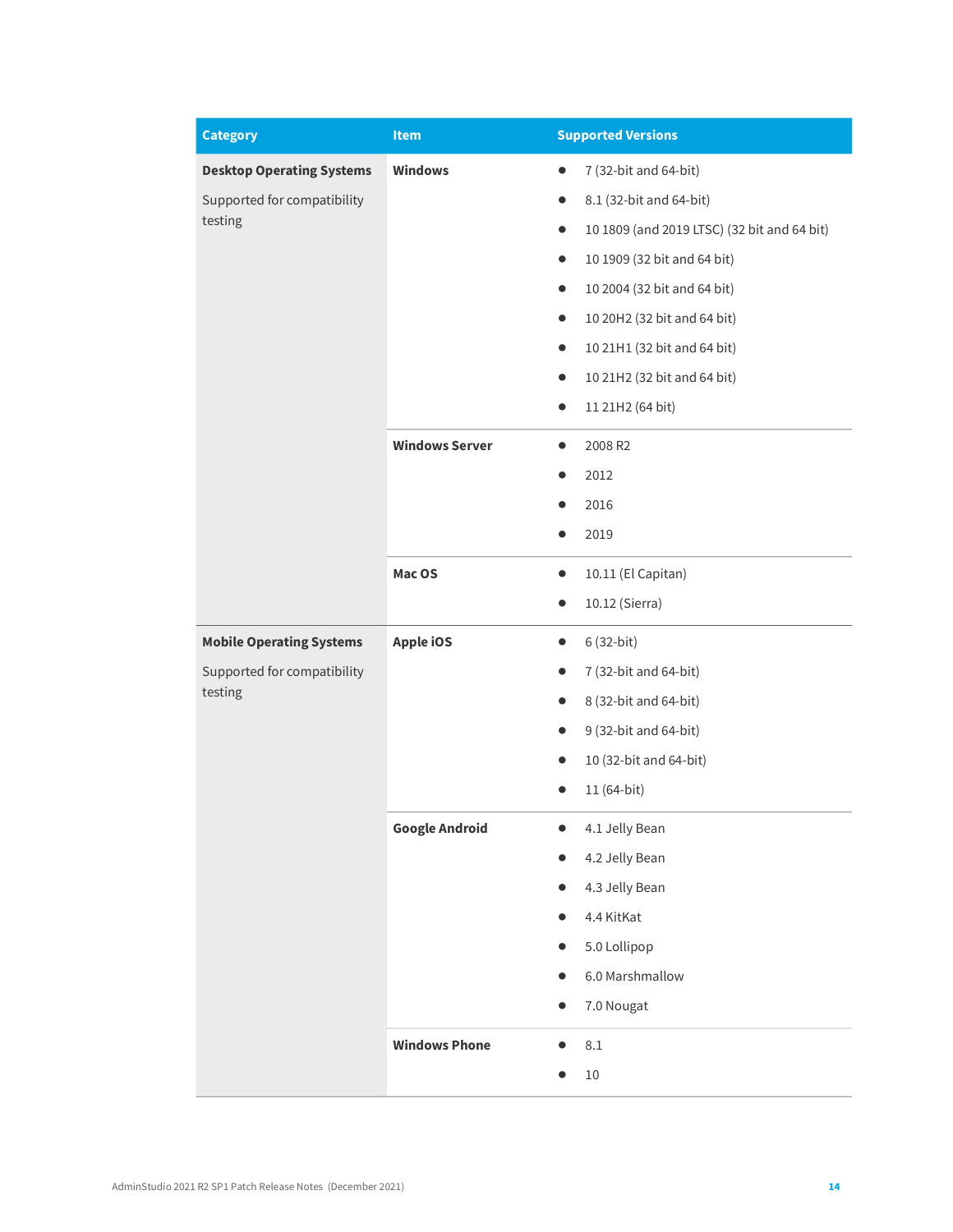| <b>Category</b>                        | Item                  | <b>Supported Versions</b>                                |  |
|----------------------------------------|-----------------------|----------------------------------------------------------|--|
| <b>Desktop Operating Systems</b>       | <b>Windows</b>        | 7 (32-bit and 64-bit)<br>$\bullet$                       |  |
| Supported for compatibility<br>testing |                       | 8.1 (32-bit and 64-bit)<br>$\bullet$                     |  |
|                                        |                       | 10 1809 (and 2019 LTSC) (32 bit and 64 bit)<br>$\bullet$ |  |
|                                        |                       | 10 1909 (32 bit and 64 bit)<br>$\bullet$                 |  |
|                                        |                       | 10 2004 (32 bit and 64 bit)<br>$\bullet$                 |  |
|                                        |                       | 10 20H2 (32 bit and 64 bit)<br>$\bullet$                 |  |
|                                        |                       | 10 21H1 (32 bit and 64 bit)<br>$\bullet$                 |  |
|                                        |                       | 10 21H2 (32 bit and 64 bit)<br>$\bullet$                 |  |
|                                        |                       | 11 21H2 (64 bit)<br>$\bullet$                            |  |
|                                        | <b>Windows Server</b> | 2008 R2<br>$\bullet$                                     |  |
|                                        |                       | 2012                                                     |  |
|                                        |                       | 2016                                                     |  |
|                                        |                       | 2019                                                     |  |
|                                        | Mac OS                | 10.11 (El Capitan)<br>$\bullet$                          |  |
|                                        |                       | 10.12 (Sierra)<br>$\bullet$                              |  |
| <b>Mobile Operating Systems</b>        | Apple iOS             | 6 (32-bit)<br>$\bullet$                                  |  |
| Supported for compatibility<br>testing |                       | 7 (32-bit and 64-bit)                                    |  |
|                                        |                       | 8 (32-bit and 64-bit)<br>$\bullet$                       |  |
|                                        |                       | 9 (32-bit and 64-bit)<br>$\bullet$                       |  |
|                                        |                       | 10 (32-bit and 64-bit)<br>$\bullet$                      |  |
|                                        |                       | 11 (64-bit)                                              |  |
|                                        | <b>Google Android</b> | 4.1 Jelly Bean                                           |  |
|                                        |                       | 4.2 Jelly Bean                                           |  |
|                                        |                       | 4.3 Jelly Bean                                           |  |
|                                        |                       | 4.4 KitKat                                               |  |
|                                        |                       | 5.0 Lollipop                                             |  |
|                                        |                       | 6.0 Marshmallow<br>$\bullet$                             |  |
|                                        |                       | 7.0 Nougat                                               |  |
|                                        | <b>Windows Phone</b>  | $8.1\,$                                                  |  |
|                                        |                       | 10                                                       |  |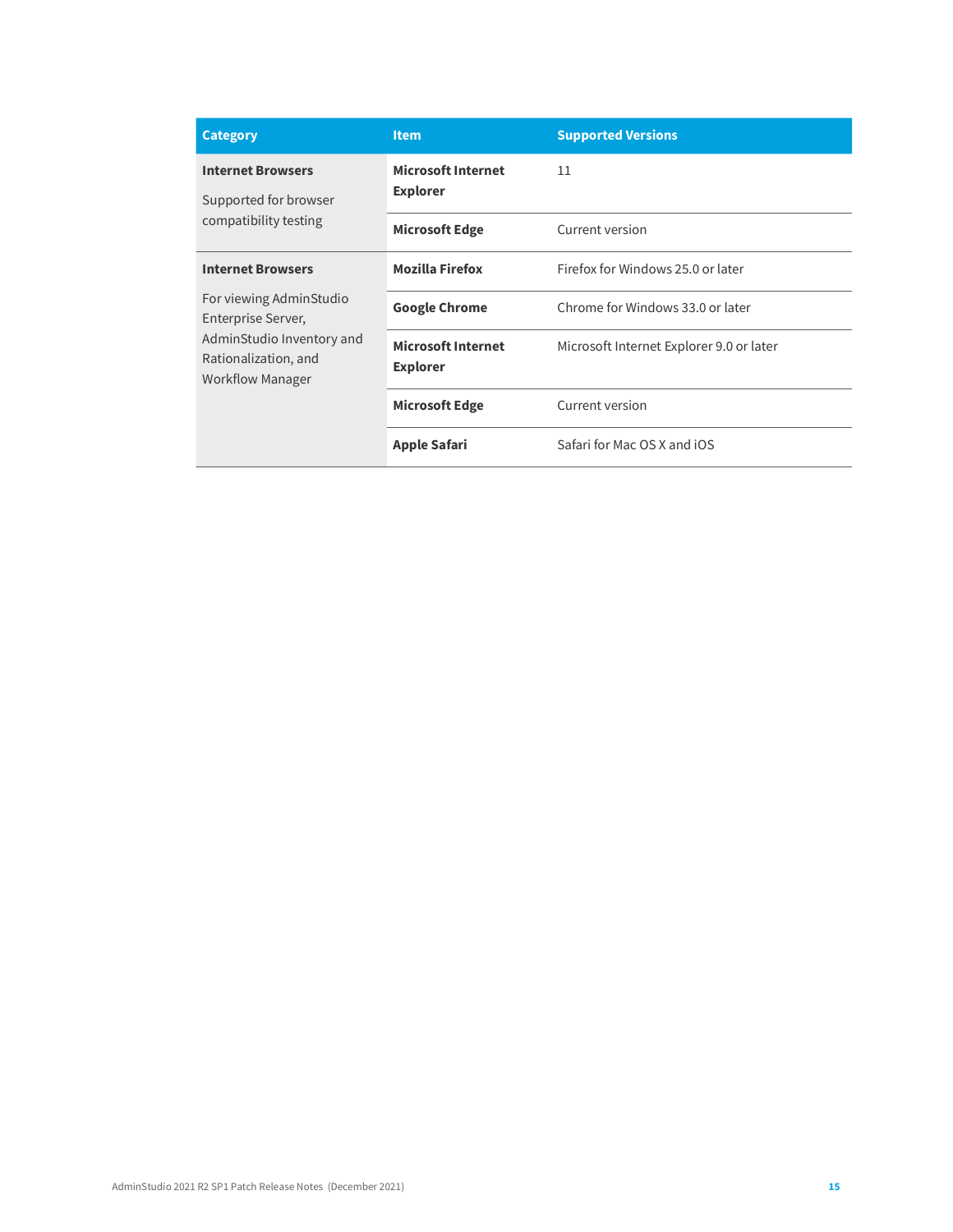| <b>Category</b>                                                                                                                                           | <b>Item</b>                                  | <b>Supported Versions</b>                |
|-----------------------------------------------------------------------------------------------------------------------------------------------------------|----------------------------------------------|------------------------------------------|
| <b>Internet Browsers</b><br>Supported for browser<br>compatibility testing                                                                                | <b>Microsoft Internet</b><br><b>Explorer</b> | 11                                       |
|                                                                                                                                                           | <b>Microsoft Edge</b>                        | Current version                          |
| <b>Internet Browsers</b><br>For viewing AdminStudio<br>Enterprise Server,<br>AdminStudio Inventory and<br>Rationalization, and<br><b>Workflow Manager</b> | <b>Mozilla Firefox</b>                       | Firefox for Windows 25.0 or later        |
|                                                                                                                                                           | <b>Google Chrome</b>                         | Chrome for Windows 33.0 or later         |
|                                                                                                                                                           | <b>Microsoft Internet</b><br><b>Explorer</b> | Microsoft Internet Explorer 9.0 or later |
|                                                                                                                                                           | <b>Microsoft Edge</b>                        | Current version                          |
|                                                                                                                                                           | <b>Apple Safari</b>                          | Safari for Mac OS X and iOS              |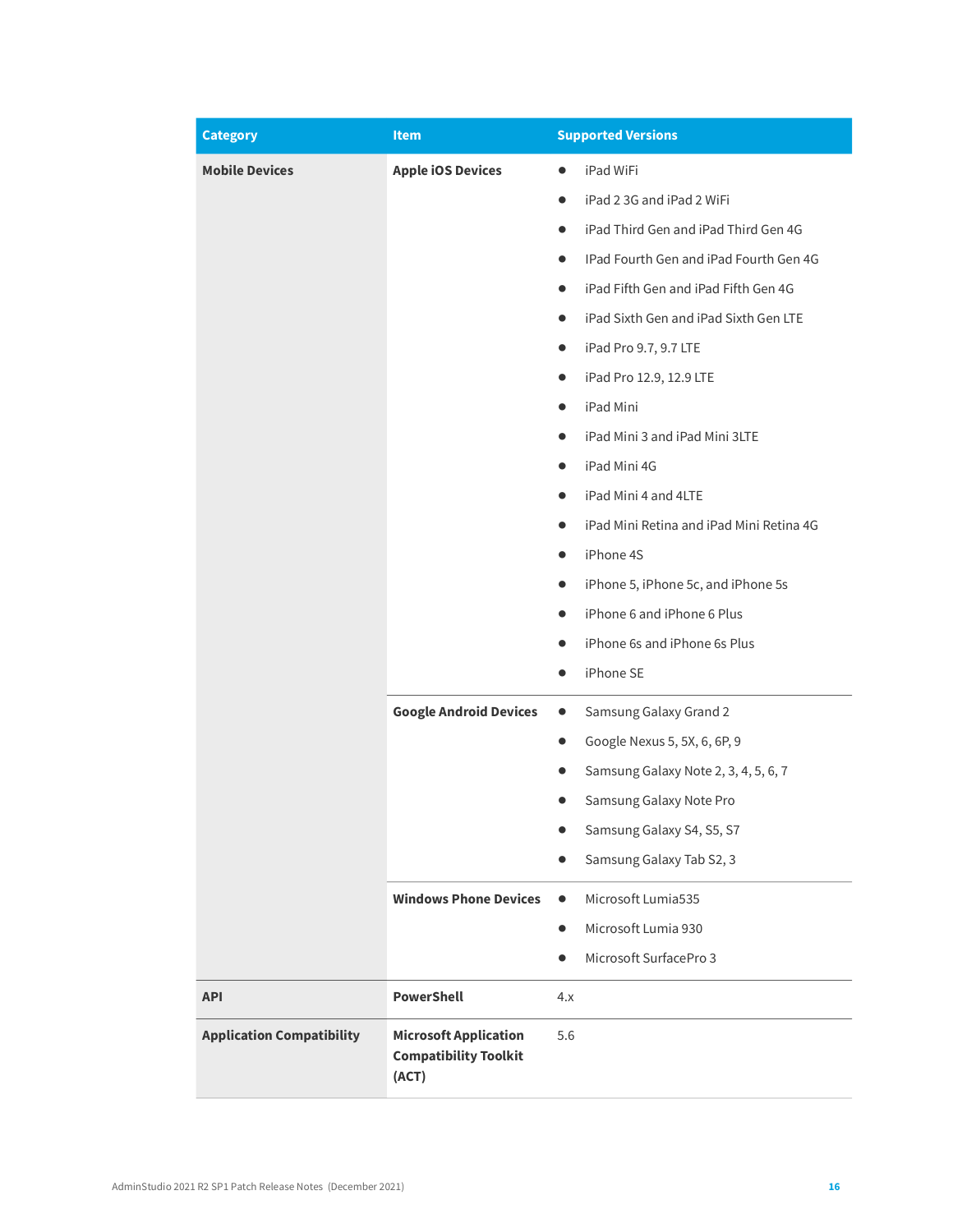| <b>Category</b>                  | <b>Item</b>                                                           | <b>Supported Versions</b>                           |  |
|----------------------------------|-----------------------------------------------------------------------|-----------------------------------------------------|--|
| <b>Mobile Devices</b>            | <b>Apple iOS Devices</b>                                              | iPad WiFi                                           |  |
|                                  |                                                                       | iPad 2 3G and iPad 2 WiFi<br>$\bullet$              |  |
|                                  |                                                                       | iPad Third Gen and iPad Third Gen 4G<br>$\bullet$   |  |
|                                  |                                                                       | IPad Fourth Gen and iPad Fourth Gen 4G<br>$\bullet$ |  |
|                                  |                                                                       | iPad Fifth Gen and iPad Fifth Gen 4G                |  |
|                                  |                                                                       | iPad Sixth Gen and iPad Sixth Gen LTE<br>$\bullet$  |  |
|                                  |                                                                       | iPad Pro 9.7, 9.7 LTE<br>$\bullet$                  |  |
|                                  |                                                                       | iPad Pro 12.9, 12.9 LTE<br>$\bullet$                |  |
|                                  |                                                                       | iPad Mini<br>$\bullet$                              |  |
|                                  |                                                                       | iPad Mini 3 and iPad Mini 3LTE                      |  |
|                                  |                                                                       | iPad Mini 4G                                        |  |
|                                  |                                                                       | iPad Mini 4 and 4LTE<br>$\bullet$                   |  |
|                                  |                                                                       | iPad Mini Retina and iPad Mini Retina 4G            |  |
|                                  |                                                                       | iPhone 4S<br>$\bullet$                              |  |
|                                  |                                                                       | iPhone 5, iPhone 5c, and iPhone 5s<br>$\bullet$     |  |
|                                  |                                                                       | iPhone 6 and iPhone 6 Plus                          |  |
|                                  |                                                                       | iPhone 6s and iPhone 6s Plus                        |  |
|                                  |                                                                       | iPhone SE<br>$\bullet$                              |  |
|                                  | <b>Google Android Devices</b>                                         | Samsung Galaxy Grand 2<br>$\bullet$                 |  |
|                                  |                                                                       | Google Nexus 5, 5X, 6, 6P, 9<br>$\bullet$           |  |
|                                  |                                                                       | Samsung Galaxy Note 2, 3, 4, 5, 6, 7<br>●           |  |
|                                  |                                                                       | Samsung Galaxy Note Pro                             |  |
|                                  |                                                                       | Samsung Galaxy S4, S5, S7                           |  |
|                                  |                                                                       | Samsung Galaxy Tab S2, 3                            |  |
|                                  | <b>Windows Phone Devices</b>                                          | Microsoft Lumia535<br>$\bullet$                     |  |
|                                  |                                                                       | Microsoft Lumia 930<br>$\bullet$                    |  |
|                                  |                                                                       | Microsoft SurfacePro 3<br>$\bullet$                 |  |
| <b>API</b>                       | <b>PowerShell</b>                                                     | 4.x                                                 |  |
| <b>Application Compatibility</b> | <b>Microsoft Application</b><br><b>Compatibility Toolkit</b><br>(ACT) | 5.6                                                 |  |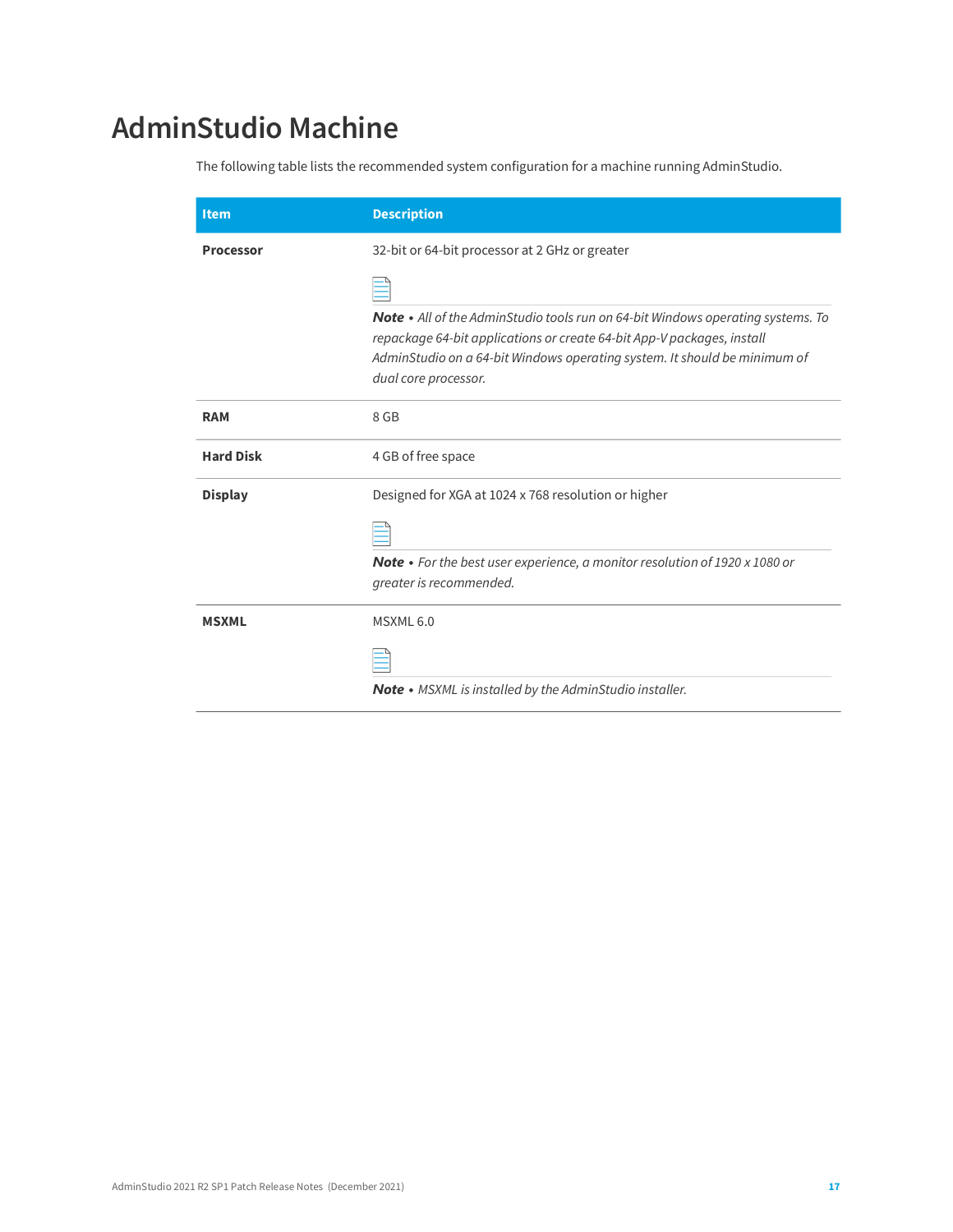# <span id="page-16-0"></span>**AdminStudio Machine**

The following table lists the recommended system configuration for a machine running AdminStudio.

| <b>Item</b>      | <b>Description</b>                                                                                                                                                                                                                                                    |
|------------------|-----------------------------------------------------------------------------------------------------------------------------------------------------------------------------------------------------------------------------------------------------------------------|
| <b>Processor</b> | 32-bit or 64-bit processor at 2 GHz or greater                                                                                                                                                                                                                        |
|                  |                                                                                                                                                                                                                                                                       |
|                  | <b>Note</b> • All of the AdminStudio tools run on 64-bit Windows operating systems. To<br>repackage 64-bit applications or create 64-bit App-V packages, install<br>AdminStudio on a 64-bit Windows operating system. It should be minimum of<br>dual core processor. |
| <b>RAM</b>       | 8 GB                                                                                                                                                                                                                                                                  |
| <b>Hard Disk</b> | 4 GB of free space                                                                                                                                                                                                                                                    |
| <b>Display</b>   | Designed for XGA at 1024 x 768 resolution or higher                                                                                                                                                                                                                   |
|                  |                                                                                                                                                                                                                                                                       |
|                  | <b>Note</b> • For the best user experience, a monitor resolution of 1920 x 1080 or<br>greater is recommended.                                                                                                                                                         |
| <b>MSXML</b>     | MSXML 6.0                                                                                                                                                                                                                                                             |
|                  |                                                                                                                                                                                                                                                                       |
|                  | Note • MSXML is installed by the AdminStudio installer.                                                                                                                                                                                                               |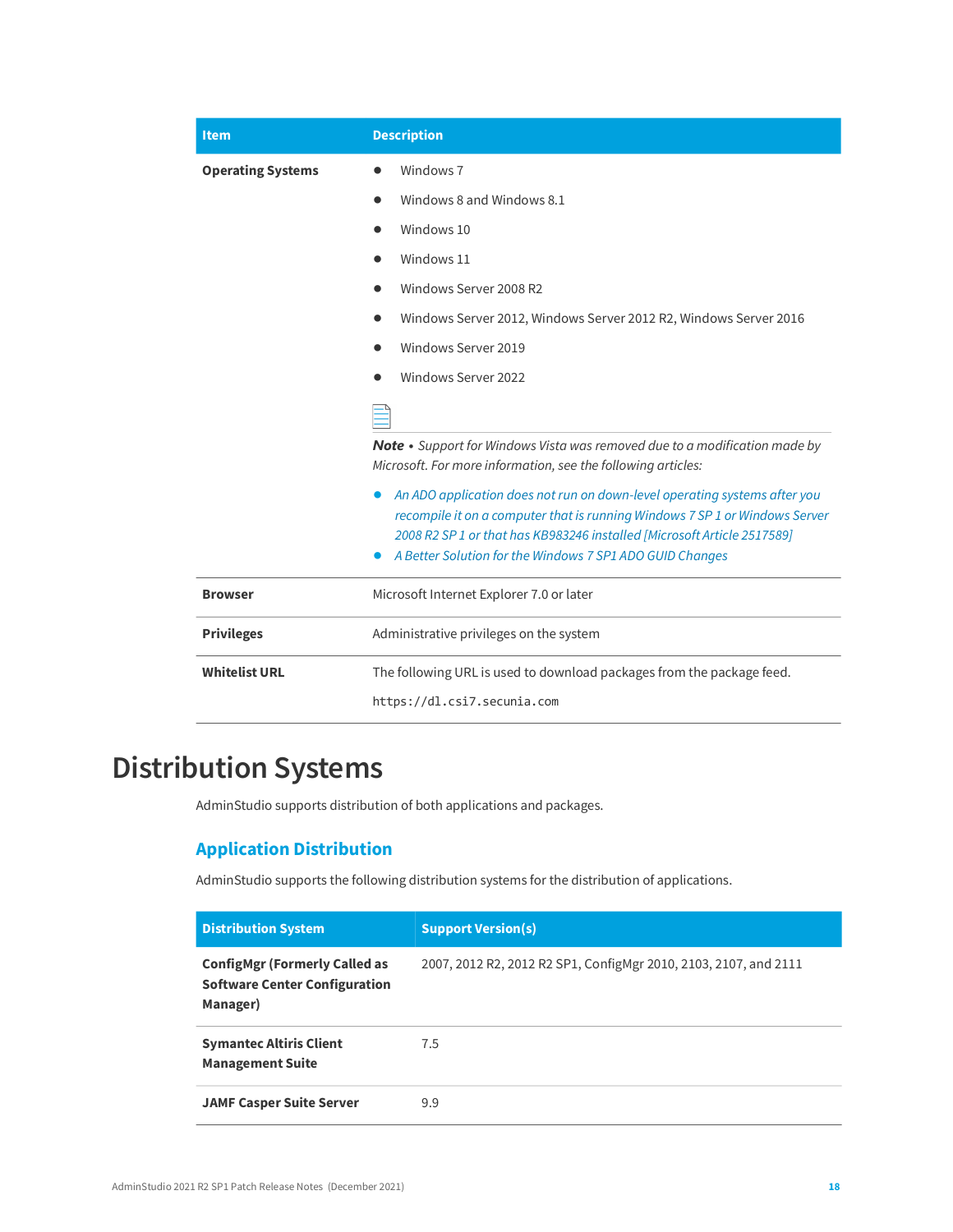| <b>Item</b>              | <b>Description</b>                                                                                                                                                                                                                  |
|--------------------------|-------------------------------------------------------------------------------------------------------------------------------------------------------------------------------------------------------------------------------------|
| <b>Operating Systems</b> | Windows <sub>7</sub>                                                                                                                                                                                                                |
|                          | Windows 8 and Windows 8.1                                                                                                                                                                                                           |
|                          | Windows 10                                                                                                                                                                                                                          |
|                          | Windows 11                                                                                                                                                                                                                          |
|                          | Windows Server 2008 R2                                                                                                                                                                                                              |
|                          | Windows Server 2012, Windows Server 2012 R2, Windows Server 2016                                                                                                                                                                    |
|                          | Windows Server 2019                                                                                                                                                                                                                 |
|                          | Windows Server 2022                                                                                                                                                                                                                 |
|                          |                                                                                                                                                                                                                                     |
|                          | Note • Support for Windows Vista was removed due to a modification made by<br>Microsoft. For more information, see the following articles:                                                                                          |
|                          | An ADO application does not run on down-level operating systems after you<br>recompile it on a computer that is running Windows 7 SP 1 or Windows Server<br>2008 R2 SP 1 or that has KB983246 installed [Microsoft Article 2517589] |
|                          | A Better Solution for the Windows 7 SP1 ADO GUID Changes                                                                                                                                                                            |
| <b>Browser</b>           | Microsoft Internet Explorer 7.0 or later                                                                                                                                                                                            |
| <b>Privileges</b>        | Administrative privileges on the system                                                                                                                                                                                             |
| <b>Whitelist URL</b>     | The following URL is used to download packages from the package feed.                                                                                                                                                               |
|                          | https://dl.csi7.secunia.com                                                                                                                                                                                                         |

## <span id="page-17-0"></span>**Distribution Systems**

AdminStudio supports distribution of both applications and packages.

#### **Application Distribution**

AdminStudio supports the following distribution systems for the distribution of applications.

| <b>Distribution System</b>                                                               | <b>Support Version(s)</b>                                        |
|------------------------------------------------------------------------------------------|------------------------------------------------------------------|
| <b>ConfigMgr (Formerly Called as</b><br><b>Software Center Configuration</b><br>Manager) | 2007, 2012 R2, 2012 R2 SP1, ConfigMgr 2010, 2103, 2107, and 2111 |
| <b>Symantec Altiris Client</b><br><b>Management Suite</b>                                | 7.5                                                              |
| <b>JAMF Casper Suite Server</b>                                                          | 9.9                                                              |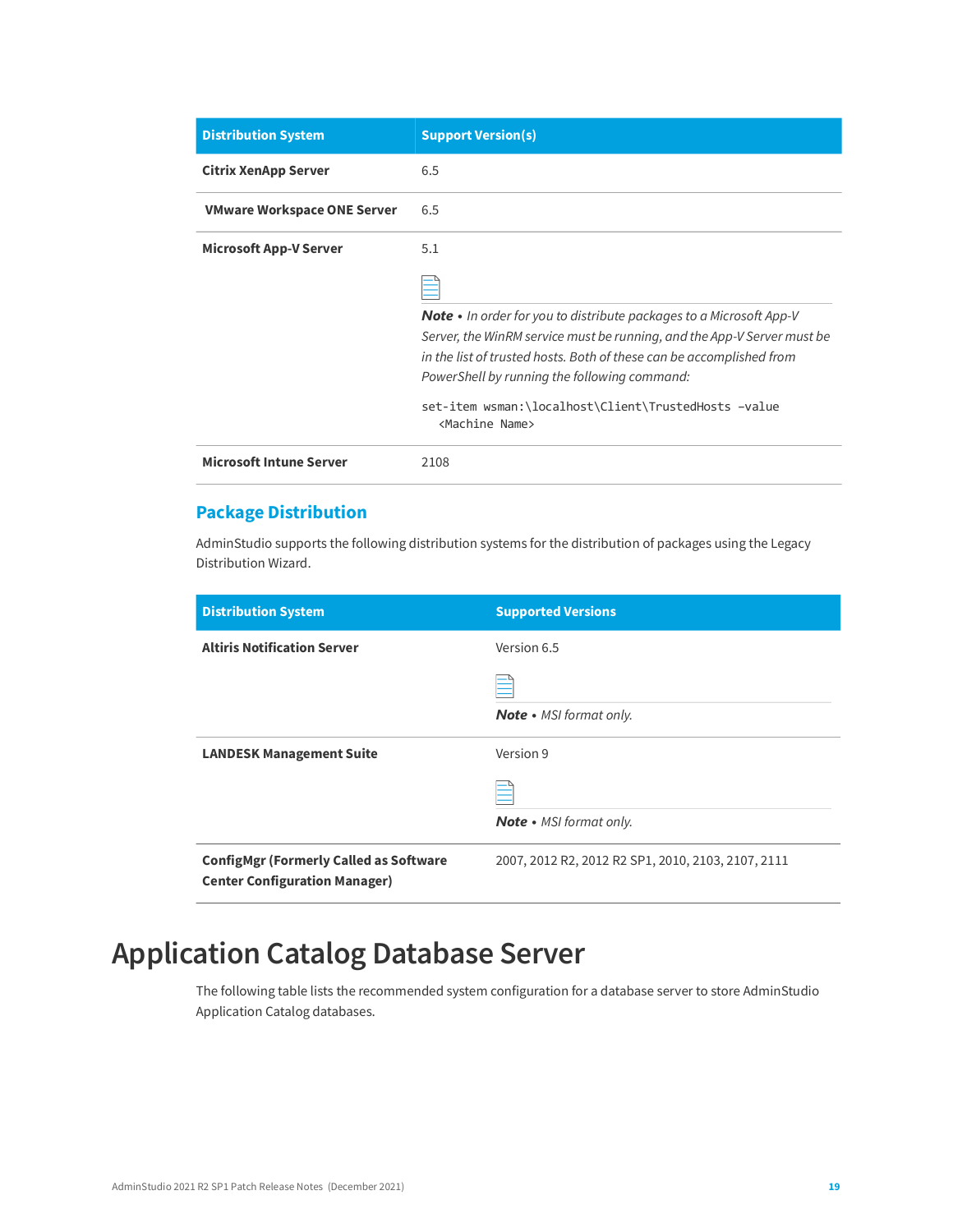| <b>Distribution System</b>         | <b>Support Version(s)</b>                                                                                                                                                                                                                                                     |
|------------------------------------|-------------------------------------------------------------------------------------------------------------------------------------------------------------------------------------------------------------------------------------------------------------------------------|
| Citrix XenApp Server               | 6.5                                                                                                                                                                                                                                                                           |
| <b>VMware Workspace ONE Server</b> | 6.5                                                                                                                                                                                                                                                                           |
| <b>Microsoft App-V Server</b>      | 5.1                                                                                                                                                                                                                                                                           |
|                                    |                                                                                                                                                                                                                                                                               |
|                                    | <b>Note</b> • In order for you to distribute packages to a Microsoft App-V<br>Server, the WinRM service must be running, and the App-V Server must be<br>in the list of trusted hosts. Both of these can be accomplished from<br>PowerShell by running the following command: |
|                                    | set-item wsman:\localhost\Client\TrustedHosts -value<br><machine name=""></machine>                                                                                                                                                                                           |
| <b>Microsoft Intune Server</b>     | 2108                                                                                                                                                                                                                                                                          |

#### **Package Distribution**

AdminStudio supports the following distribution systems for the distribution of packages using the Legacy Distribution Wizard.

| <b>Distribution System</b>                                                            | <b>Supported Versions</b>                          |
|---------------------------------------------------------------------------------------|----------------------------------------------------|
| <b>Altiris Notification Server</b>                                                    | Version 6.5                                        |
|                                                                                       |                                                    |
|                                                                                       | <b>Note</b> • MSI format only.                     |
| <b>LANDESK Management Suite</b>                                                       | Version 9                                          |
|                                                                                       |                                                    |
|                                                                                       | <b>Note</b> • MSI format only.                     |
| <b>ConfigMgr (Formerly Called as Software</b><br><b>Center Configuration Manager)</b> | 2007, 2012 R2, 2012 R2 SP1, 2010, 2103, 2107, 2111 |

## <span id="page-18-0"></span>**Application Catalog Database Server**

The following table lists the recommended system configuration for a database server to store AdminStudio Application Catalog databases.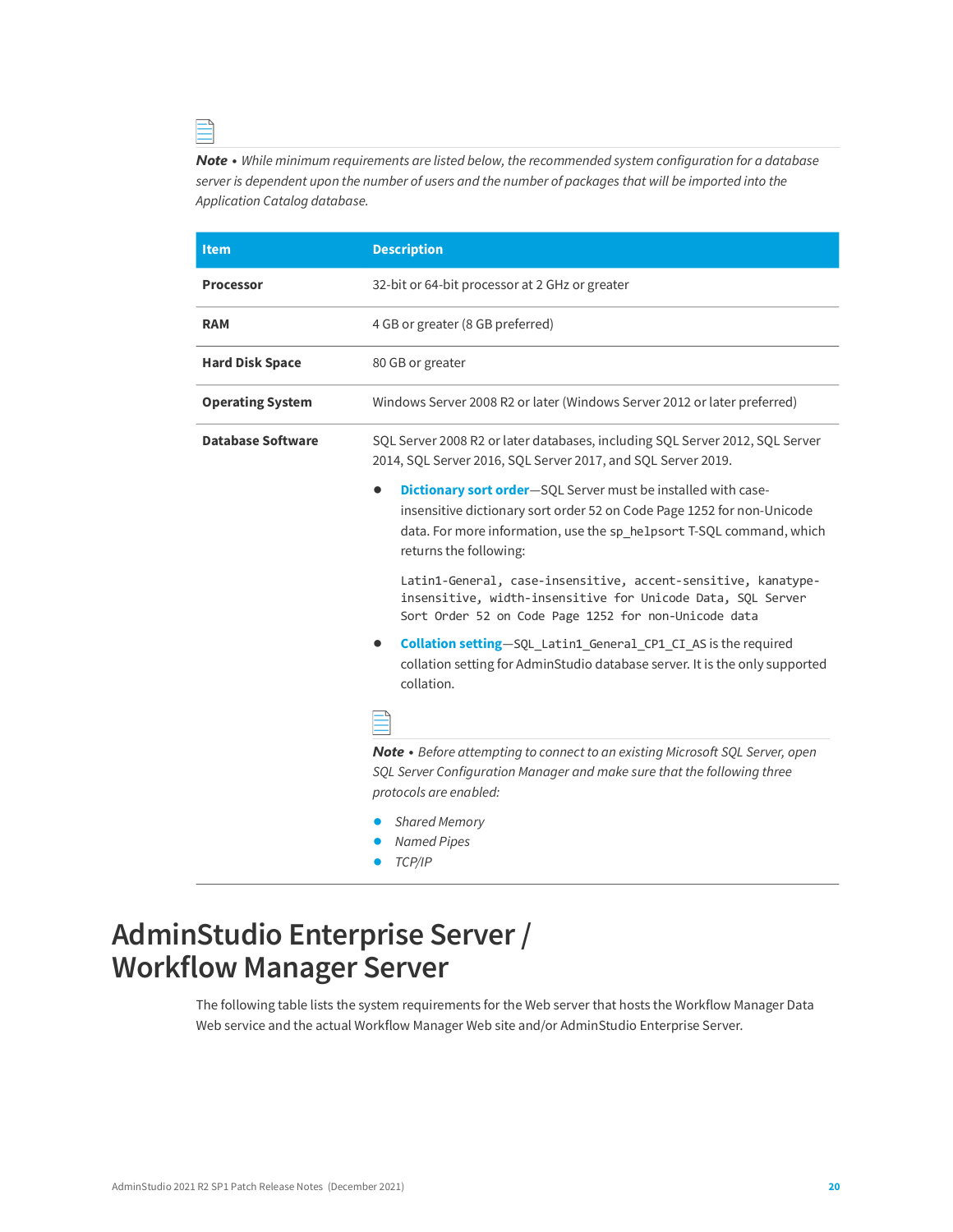*Note • While minimum requirements are listed below, the recommended system configuration for a database server is dependent upon the number of users and the number of packages that will be imported into the Application Catalog database.*

| <b>Item</b>              | <b>Description</b>                                                                                                                                                                                                                                |
|--------------------------|---------------------------------------------------------------------------------------------------------------------------------------------------------------------------------------------------------------------------------------------------|
| <b>Processor</b>         | 32-bit or 64-bit processor at 2 GHz or greater                                                                                                                                                                                                    |
| <b>RAM</b>               | 4 GB or greater (8 GB preferred)                                                                                                                                                                                                                  |
| <b>Hard Disk Space</b>   | 80 GB or greater                                                                                                                                                                                                                                  |
| <b>Operating System</b>  | Windows Server 2008 R2 or later (Windows Server 2012 or later preferred)                                                                                                                                                                          |
| <b>Database Software</b> | SQL Server 2008 R2 or later databases, including SQL Server 2012, SQL Server<br>2014, SQL Server 2016, SQL Server 2017, and SQL Server 2019.                                                                                                      |
|                          | <b>Dictionary sort order</b> —SQL Server must be installed with case-<br>insensitive dictionary sort order 52 on Code Page 1252 for non-Unicode<br>data. For more information, use the sp_helpsort T-SQL command, which<br>returns the following: |
|                          | Latin1-General, case-insensitive, accent-sensitive, kanatype-<br>insensitive, width-insensitive for Unicode Data, SQL Server<br>Sort Order 52 on Code Page 1252 for non-Unicode data                                                              |
|                          | Collation setting-SQL_Latin1_General_CP1_CI_AS is the required<br>collation setting for AdminStudio database server. It is the only supported<br>collation.                                                                                       |
|                          |                                                                                                                                                                                                                                                   |
|                          | Note • Before attempting to connect to an existing Microsoft SQL Server, open<br>SQL Server Configuration Manager and make sure that the following three<br>protocols are enabled:                                                                |
|                          | <b>Shared Memory</b><br><b>Named Pipes</b>                                                                                                                                                                                                        |

**•** *TCP/IP*

### <span id="page-19-0"></span>**AdminStudio Enterprise Server / Workflow Manager Server**

The following table lists the system requirements for the Web server that hosts the Workflow Manager Data Web service and the actual Workflow Manager Web site and/or AdminStudio Enterprise Server.

≘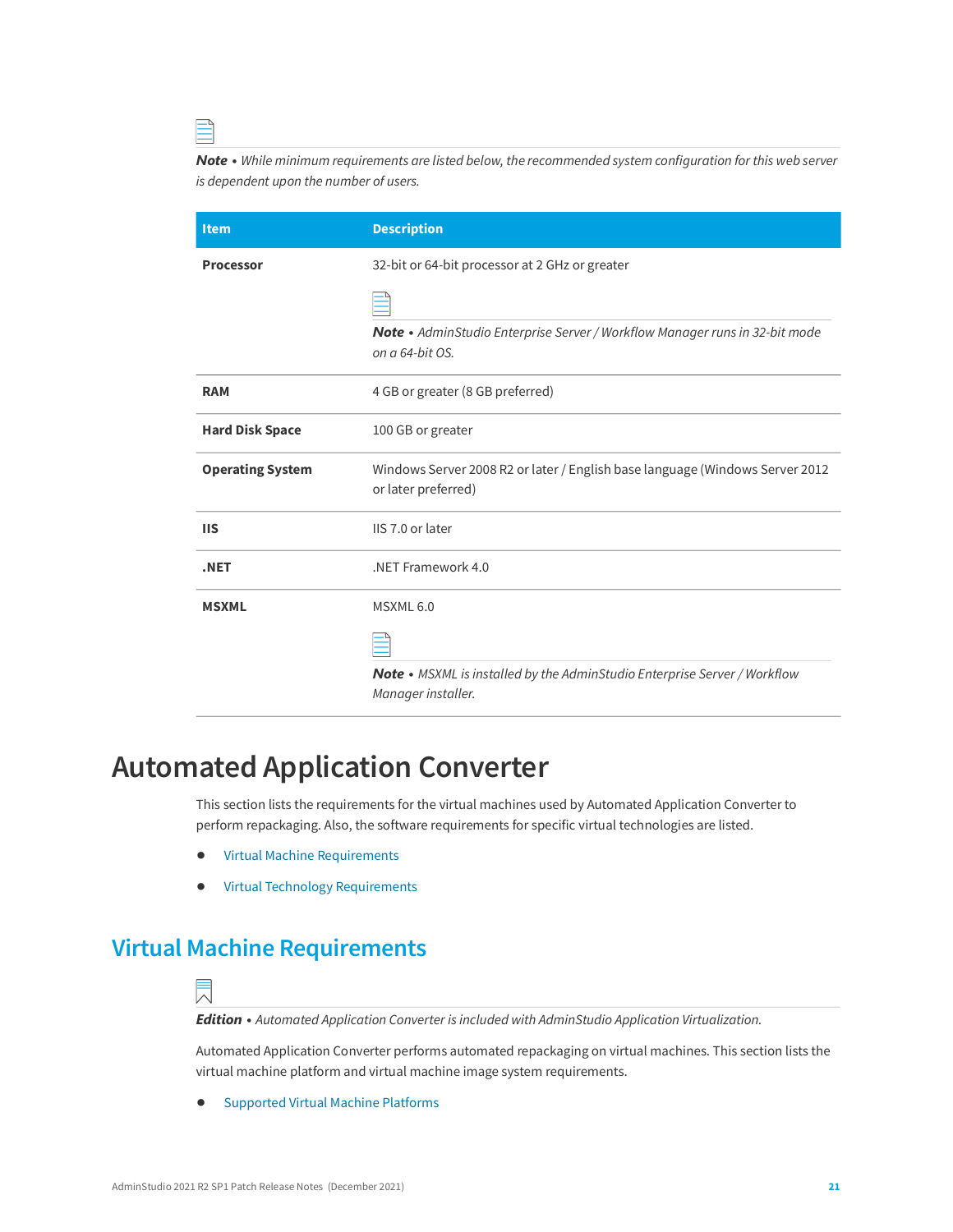*Note • While minimum requirements are listed below, the recommended system configuration for this web server is dependent upon the number of users.*

| <b>Item</b>             | <b>Description</b>                                                                                     |
|-------------------------|--------------------------------------------------------------------------------------------------------|
| <b>Processor</b>        | 32-bit or 64-bit processor at 2 GHz or greater                                                         |
|                         |                                                                                                        |
|                         | Note · AdminStudio Enterprise Server / Workflow Manager runs in 32-bit mode<br>on a 64-bit OS.         |
| <b>RAM</b>              | 4 GB or greater (8 GB preferred)                                                                       |
| <b>Hard Disk Space</b>  | 100 GB or greater                                                                                      |
| <b>Operating System</b> | Windows Server 2008 R2 or later / English base language (Windows Server 2012<br>or later preferred)    |
| <b>IIS</b>              | IIS 7.0 or later                                                                                       |
| .NET                    | .NET Framework 4.0                                                                                     |
| <b>MSXML</b>            | MSXML 6.0                                                                                              |
|                         |                                                                                                        |
|                         | <b>Note •</b> MSXML is installed by the AdminStudio Enterprise Server / Workflow<br>Manager installer. |

### <span id="page-20-0"></span>**Automated Application Converter**

This section lists the requirements for the virtual machines used by Automated Application Converter to perform repackaging. Also, the software requirements for specific virtual technologies are listed.

- **•** [Virtual Machine Requirements](#page-20-1)
- **•** [Virtual Technology Requirements](#page-25-0)

### <span id="page-20-1"></span>**Virtual Machine Requirements**



*Edition • Automated Application Converter is included with AdminStudio Application Virtualization.*

Automated Application Converter performs automated repackaging on virtual machines. This section lists the virtual machine platform and virtual machine image system requirements.

**•** [Supported Virtual Machine Platforms](#page-21-0)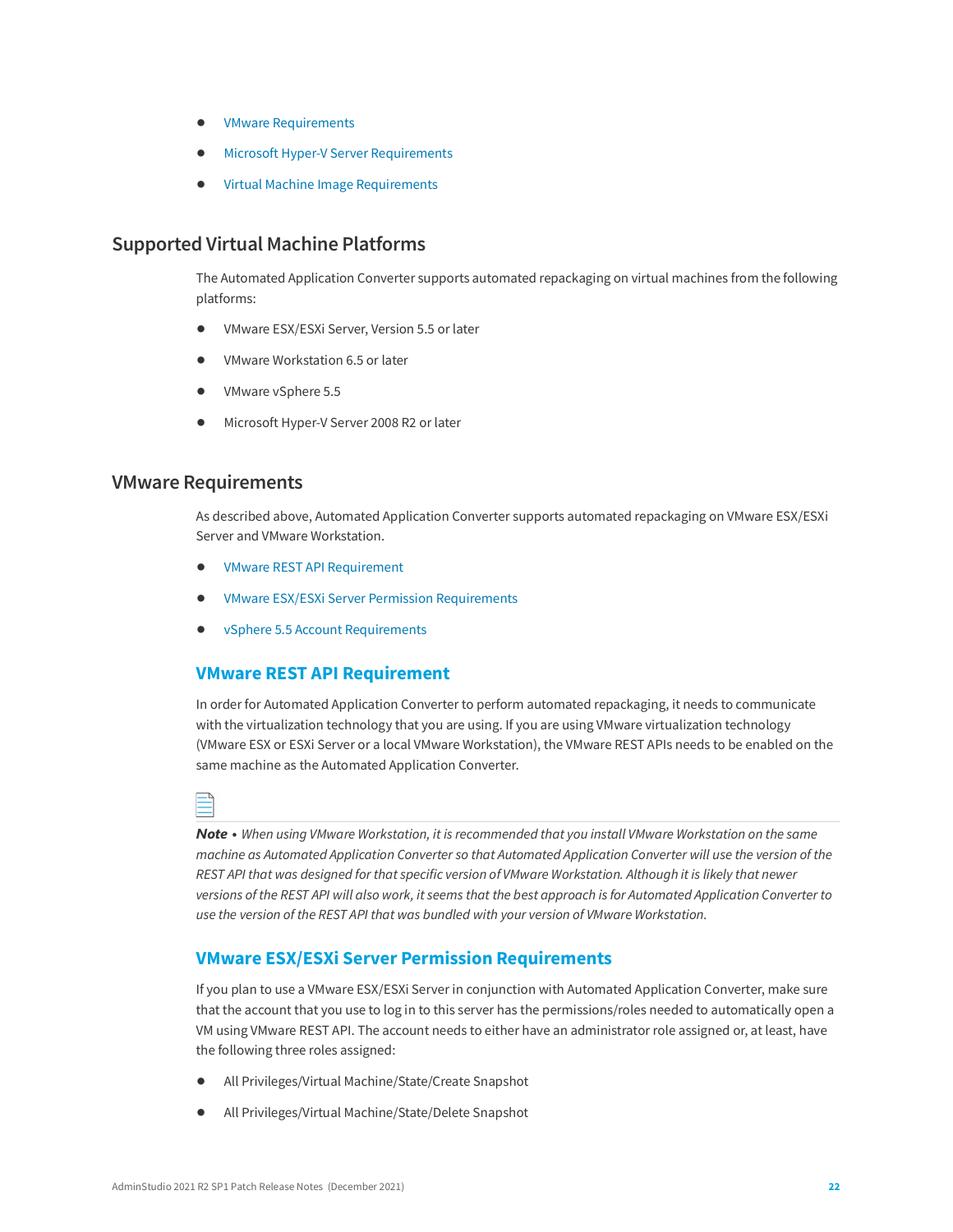- **•** [VMware Requirements](#page-21-1)
- **•** [Microsoft Hyper-V Server Requirements](#page-24-0)
- **•** [Virtual Machine Image Requirements](#page-24-1)

#### <span id="page-21-0"></span>**Supported Virtual Machine Platforms**

The Automated Application Converter supports automated repackaging on virtual machines from the following platforms:

- **•** VMware ESX/ESXi Server, Version 5.5 or later
- **•** VMware Workstation 6.5 or later
- **•** VMware vSphere 5.5
- **•** Microsoft Hyper-V Server 2008 R2 or later

#### <span id="page-21-1"></span>**VMware Requirements**

As described above, Automated Application Converter supports automated repackaging on VMware ESX/ESXi Server and VMware Workstation.

- **•** VMware REST API Requirement
- **•** VMware ESX/ESXi Server Permission Requirements
- **•** vSphere 5.5 Account Requirements

#### **VMware REST API Requirement**

In order for Automated Application Converter to perform automated repackaging, it needs to communicate with the virtualization technology that you are using. If you are using VMware virtualization technology (VMware ESX or ESXi Server or a local VMware Workstation), the VMware REST APIs needs to be enabled on the same machine as the Automated Application Converter.

*Note • When using VMware Workstation, it is recommended that you install VMware Workstation on the same machine as Automated Application Converter so that Automated Application Converter will use the version of the REST API that was designed for that specific version of VMware Workstation. Although it is likely that newer versions of the REST API will also work, it seems that the best approach is for Automated Application Converter to use the version of the REST API that was bundled with your version of VMware Workstation.*

#### **VMware ESX/ESXi Server Permission Requirements**

If you plan to use a VMware ESX/ESXi Server in conjunction with Automated Application Converter, make sure that the account that you use to log in to this server has the permissions/roles needed to automatically open a VM using VMware REST API. The account needs to either have an administrator role assigned or, at least, have the following three roles assigned:

- **•** All Privileges/Virtual Machine/State/Create Snapshot
- **•** All Privileges/Virtual Machine/State/Delete Snapshot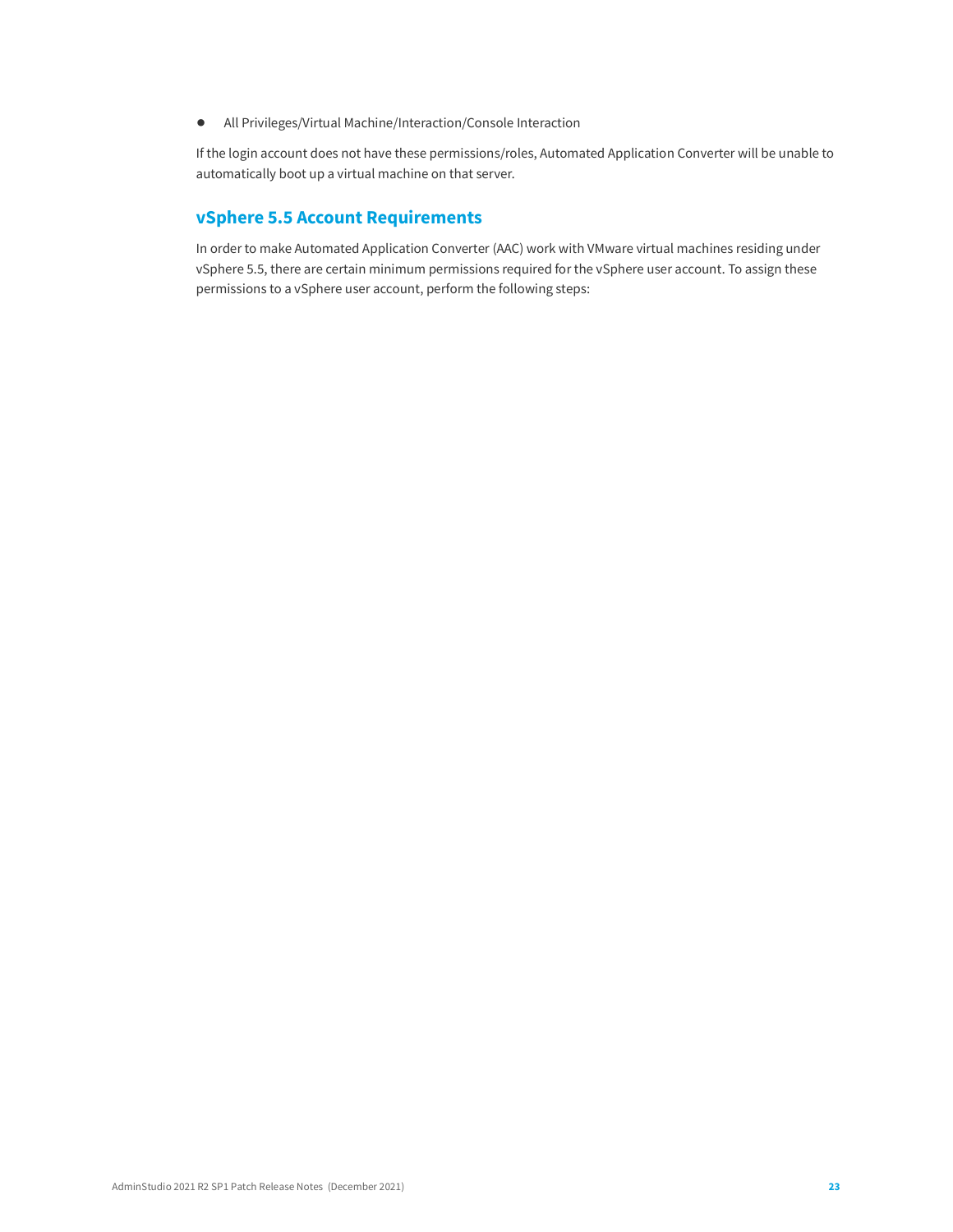**•** All Privileges/Virtual Machine/Interaction/Console Interaction

If the login account does not have these permissions/roles, Automated Application Converter will be unable to automatically boot up a virtual machine on that server.

#### **vSphere 5.5 Account Requirements**

In order to make Automated Application Converter (AAC) work with VMware virtual machines residing under vSphere 5.5, there are certain minimum permissions required for the vSphere user account. To assign these permissions to a vSphere user account, perform the following steps: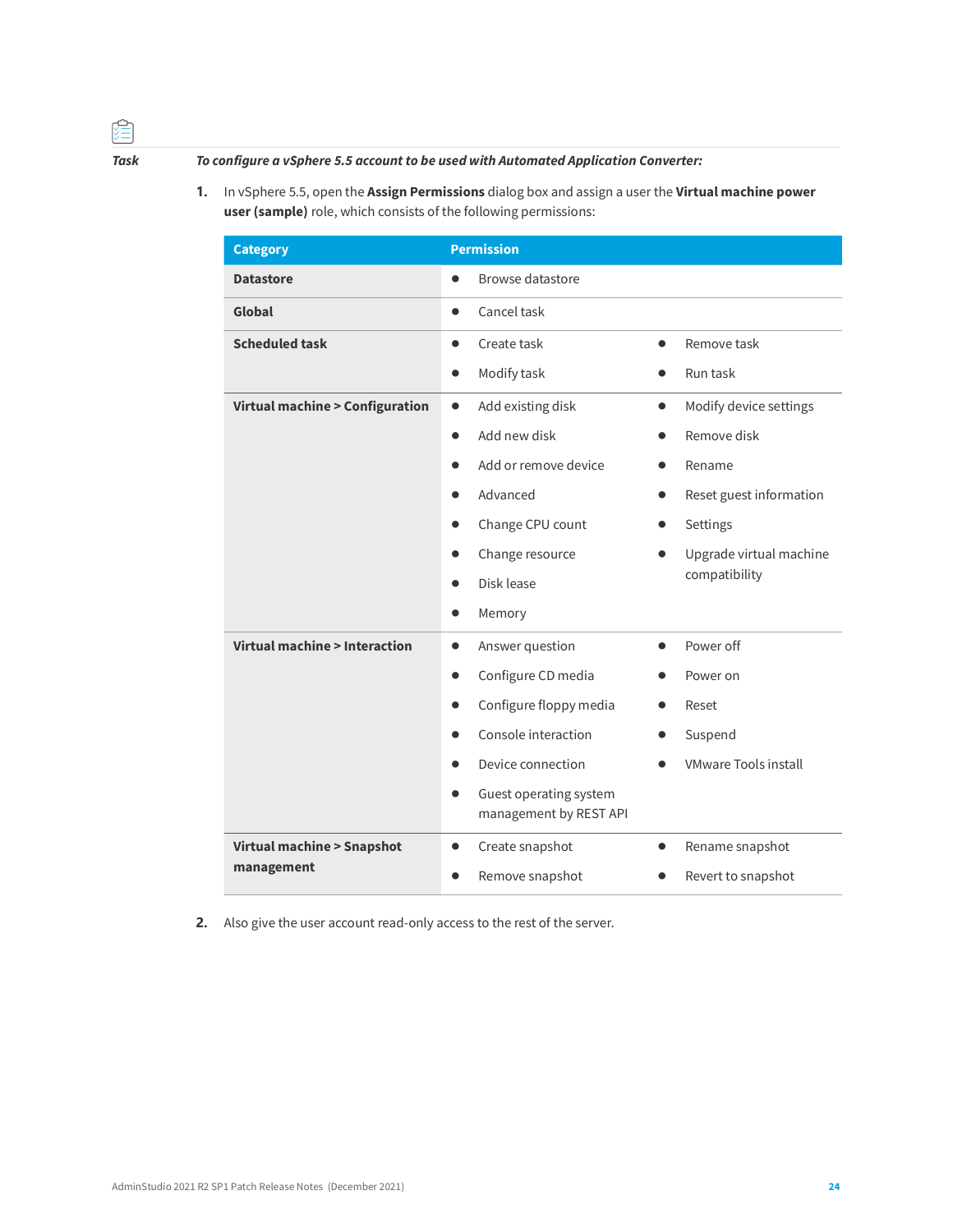#### *Task To configure a vSphere 5.5 account to be used with Automated Application Converter:*

**1.** In vSphere 5.5, open the **Assign Permissions** dialog box and assign a user the **Virtual machine power user (sample)** role, which consists of the following permissions:

| <b>Category</b>                      | <b>Permission</b>                                |                                     |
|--------------------------------------|--------------------------------------------------|-------------------------------------|
| <b>Datastore</b>                     | Browse datastore                                 |                                     |
| Global                               | Cancel task<br>$\bullet$                         |                                     |
| <b>Scheduled task</b>                | Create task<br>$\bullet$                         | Remove task<br>$\bullet$            |
|                                      | Modify task<br>$\bullet$                         | Run task                            |
| Virtual machine > Configuration      | Add existing disk<br>$\bullet$                   | Modify device settings<br>$\bullet$ |
|                                      | Add new disk                                     | Remove disk                         |
|                                      | Add or remove device                             | Rename                              |
|                                      | Advanced                                         | Reset guest information             |
|                                      | Change CPU count                                 | Settings                            |
|                                      | Change resource                                  | Upgrade virtual machine             |
|                                      | Disk lease                                       | compatibility                       |
|                                      | Memory                                           |                                     |
| Virtual machine > Interaction        | Answer question<br>$\bullet$                     | Power off<br>$\bullet$              |
|                                      | Configure CD media<br>$\bullet$                  | Power on                            |
|                                      | Configure floppy media                           | Reset                               |
|                                      | Console interaction                              | Suspend                             |
|                                      | Device connection                                | <b>VMware Tools install</b>         |
|                                      | Guest operating system<br>management by REST API |                                     |
| <b>Virtual machine &gt; Snapshot</b> | Create snapshot<br>$\bullet$                     | Rename snapshot                     |
| management                           | Remove snapshot                                  | Revert to snapshot                  |

**2.** Also give the user account read-only access to the rest of the server.

陰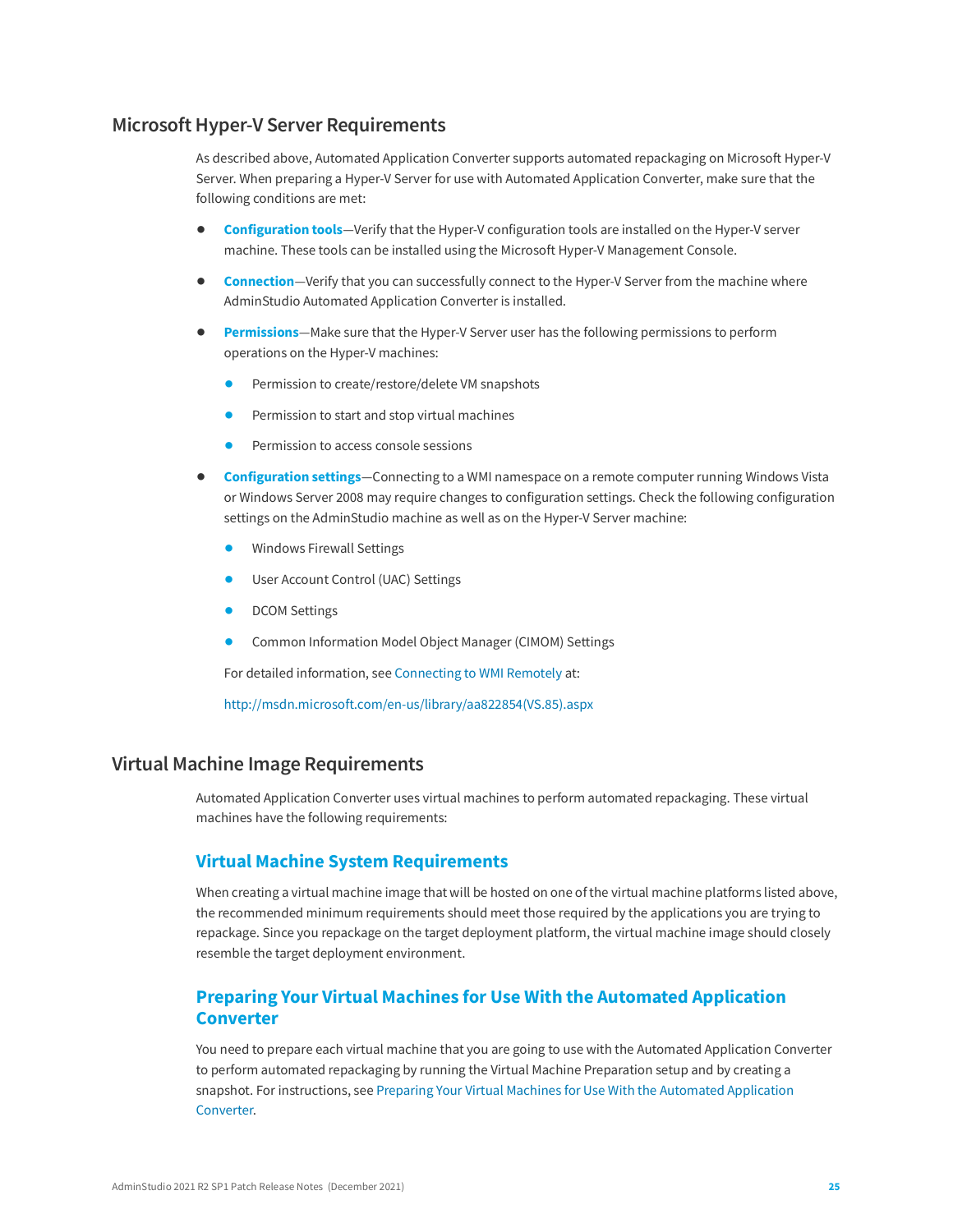#### <span id="page-24-0"></span>**Microsoft Hyper-V Server Requirements**

As described above, Automated Application Converter supports automated repackaging on Microsoft Hyper-V Server. When preparing a Hyper-V Server for use with Automated Application Converter, make sure that the following conditions are met:

- **• Configuration tools**—Verify that the Hyper-V configuration tools are installed on the Hyper-V server machine. These tools can be installed using the Microsoft Hyper-V Management Console.
- **• Connection**—Verify that you can successfully connect to the Hyper-V Server from the machine where AdminStudio Automated Application Converter is installed.
- **• Permissions**—Make sure that the Hyper-V Server user has the following permissions to perform operations on the Hyper-V machines:
	- **•** Permission to create/restore/delete VM snapshots
	- **•** Permission to start and stop virtual machines
	- **•** Permission to access console sessions
- **• Configuration settings**—Connecting to a WMI namespace on a remote computer running Windows Vista or Windows Server 2008 may require changes to configuration settings. Check the following configuration settings on the AdminStudio machine as well as on the Hyper-V Server machine:
	- **•** Windows Firewall Settings
	- **•** User Account Control (UAC) Settings
	- **•** DCOM Settings
	- **•** Common Information Model Object Manager (CIMOM) Settings

For detailed information, see [Connecting to WMI Remotely](http://msdn.microsoft.com/en-us/library/aa822854(VS.85).aspx) at:

[http://msdn.microsoft.com/en-us/library/aa822854\(VS.85\).aspx](http://msdn.microsoft.com/en-us/library/aa822854(VS.85).aspx)

#### <span id="page-24-1"></span>**Virtual Machine Image Requirements**

Automated Application Converter uses virtual machines to perform automated repackaging. These virtual machines have the following requirements:

#### **Virtual Machine System Requirements**

When creating a virtual machine image that will be hosted on one of the virtual machine platforms listed above, the recommended minimum requirements should meet those required by the applications you are trying to repackage. Since you repackage on the target deployment platform, the virtual machine image should closely resemble the target deployment environment.

#### **Preparing Your Virtual Machines for Use With the Automated Application Converter**

You need to prepare each virtual machine that you are going to use with the Automated Application Converter to perform automated repackaging by running the Virtual Machine Preparation setup and by creating a snapshot. For instructions, see [Preparing Your Virtual Machines for Use With the Automated Application](http://helpnet.flexerasoftware.com/adminstudio2016sp2/adminstudio_CSH.htm#ashelplibrary/Vam_PrepareVirtualMachines.htm)  [Converter.](http://helpnet.flexerasoftware.com/adminstudio2016sp2/adminstudio_CSH.htm#ashelplibrary/Vam_PrepareVirtualMachines.htm)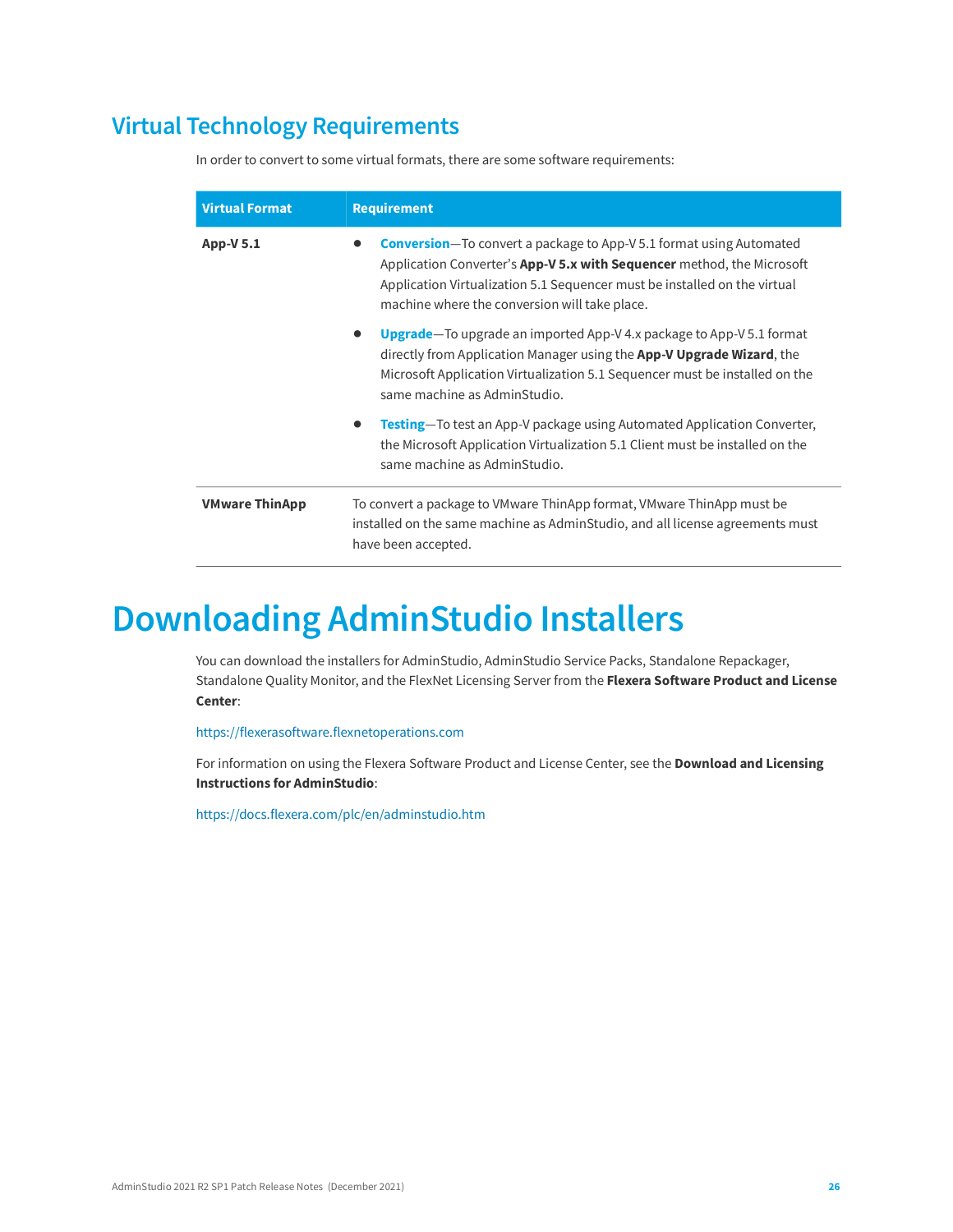### <span id="page-25-0"></span>**Virtual Technology Requirements**

In order to convert to some virtual formats, there are some software requirements:

| <b>Virtual Format</b> | <b>Requirement</b>                                                                                                                                                                                                                                                                 |
|-----------------------|------------------------------------------------------------------------------------------------------------------------------------------------------------------------------------------------------------------------------------------------------------------------------------|
| App-V 5.1             | <b>Conversion-To</b> convert a package to App-V 5.1 format using Automated<br>Application Converter's App-V 5.x with Sequencer method, the Microsoft<br>Application Virtualization 5.1 Sequencer must be installed on the virtual<br>machine where the conversion will take place. |
|                       | <b>Upgrade</b> —To upgrade an imported App-V 4.x package to App-V 5.1 format<br>directly from Application Manager using the <b>App-V Upgrade Wizard</b> , the<br>Microsoft Application Virtualization 5.1 Sequencer must be installed on the<br>same machine as AdminStudio.       |
|                       | <b>Testing</b> —To test an App-V package using Automated Application Converter,<br>the Microsoft Application Virtualization 5.1 Client must be installed on the<br>same machine as AdminStudio.                                                                                    |
| <b>VMware ThinApp</b> | To convert a package to VMware ThinApp format, VMware ThinApp must be<br>installed on the same machine as AdminStudio, and all license agreements must<br>have been accepted.                                                                                                      |

# <span id="page-25-1"></span>**Downloading AdminStudio Installers**

You can download the installers for AdminStudio, AdminStudio Service Packs, Standalone Repackager, Standalone Quality Monitor, and the FlexNet Licensing Server from the **Flexera Software Product and License Center**:

<https://flexerasoftware.flexnetoperations.com>

For information on using the Flexera Software Product and License Center, see the **Download and Licensing Instructions for AdminStudio**:

<https://docs.flexera.com/plc/en/adminstudio.htm>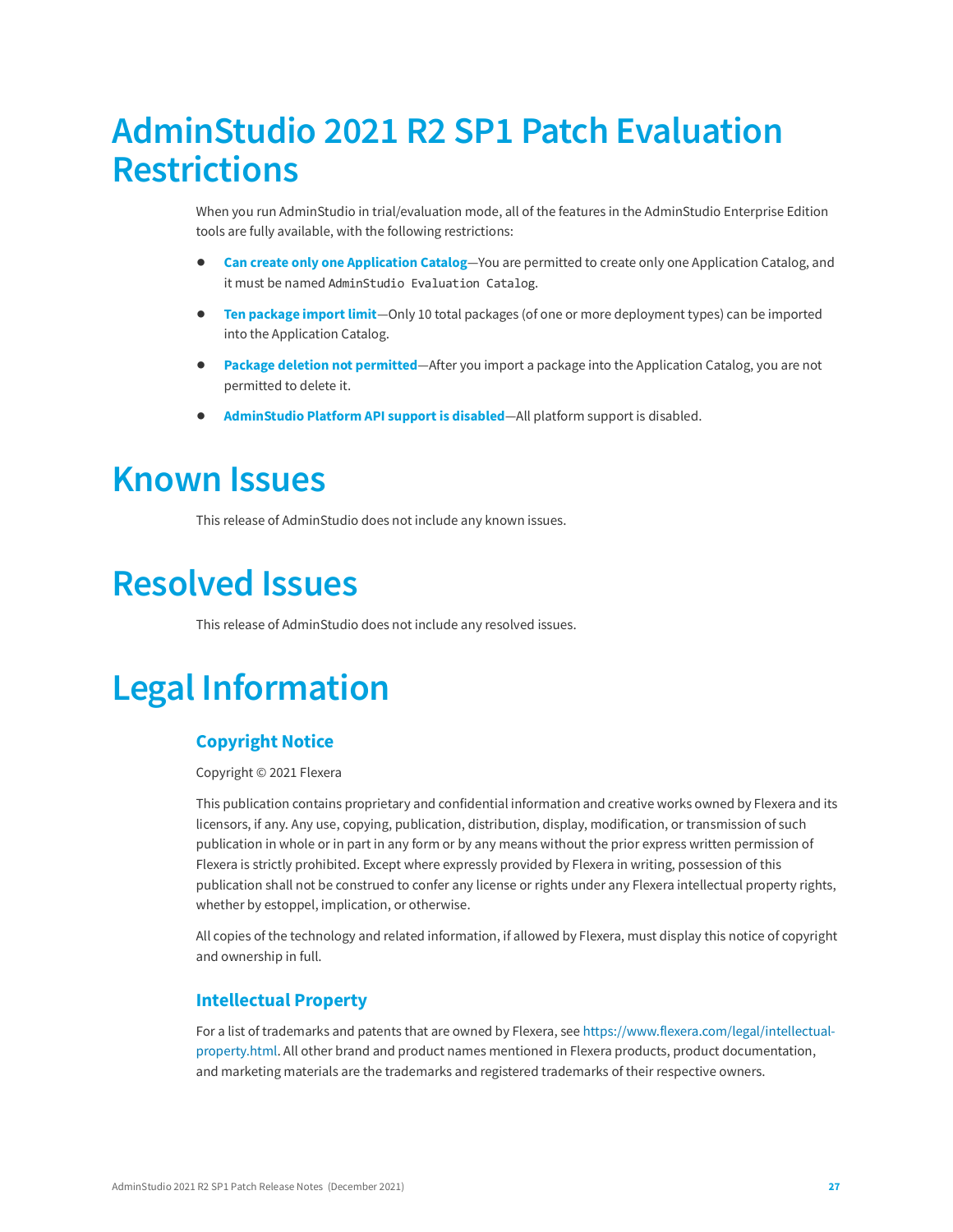# <span id="page-26-0"></span>**AdminStudio 2021 R2 SP1 Patch Evaluation Restrictions**

When you run AdminStudio in trial/evaluation mode, all of the features in the AdminStudio Enterprise Edition tools are fully available, with the following restrictions:

- **• Can create only one Application Catalog**—You are permitted to create only one Application Catalog, and it must be named AdminStudio Evaluation Catalog.
- **• Ten package import limit**—Only 10 total packages (of one or more deployment types) can be imported into the Application Catalog.
- **• Package deletion not permitted**—After you import a package into the Application Catalog, you are not permitted to delete it.
- **• AdminStudio Platform API support is disabled**—All platform support is disabled.

### <span id="page-26-1"></span>**Known Issues**

This release of AdminStudio does not include any known issues.

# <span id="page-26-2"></span>**Resolved Issues**

This release of AdminStudio does not include any resolved issues.

# <span id="page-26-3"></span>**Legal Information**

#### **Copyright Notice**

Copyright © 2021 Flexera

This publication contains proprietary and confidential information and creative works owned by Flexera and its licensors, if any. Any use, copying, publication, distribution, display, modification, or transmission of such publication in whole or in part in any form or by any means without the prior express written permission of Flexera is strictly prohibited. Except where expressly provided by Flexera in writing, possession of this publication shall not be construed to confer any license or rights under any Flexera intellectual property rights, whether by estoppel, implication, or otherwise.

All copies of the technology and related information, if allowed by Flexera, must display this notice of copyright and ownership in full.

#### **Intellectual Property**

For a list of trademarks and patents that are owned by Flexera, see [https://www.flexera.com/legal/intellectual](https://www.flexera.com/legal/intellectual-property.html)[property.html](https://www.flexera.com/legal/intellectual-property.html). All other brand and product names mentioned in Flexera products, product documentation, and marketing materials are the trademarks and registered trademarks of their respective owners.